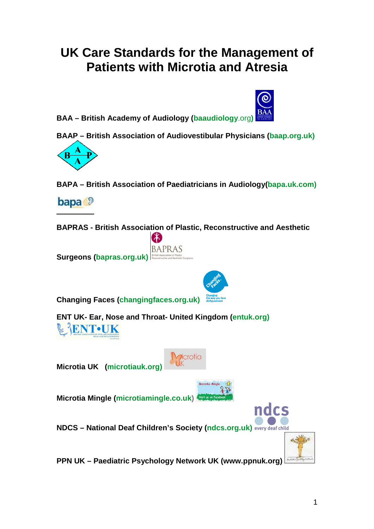# **UK Care Standards for the Management of Patients with Microtia and Atresia**



**BAAP – British Association of Audiovestibular Physicians (baap.org.uk)** 



**BAPA – British Association of Paediatricians in Audiology(bapa.uk.com)**



**BAPRAS - British Association of Plastic, Reconstructive and Aesthetic** 





**Changing Faces (changingfaces.org.uk)**

**ENT UK- Ear, Nose and Throat- United Kingdom (entuk.org) ENT•UK** 

**Microtia UK (microtiauk.org)** 



**Microtia Mingle (microtiamingle.co.uk)** 



**PPN UK – Paediatric Psychology Network UK (www.ppnuk.org)**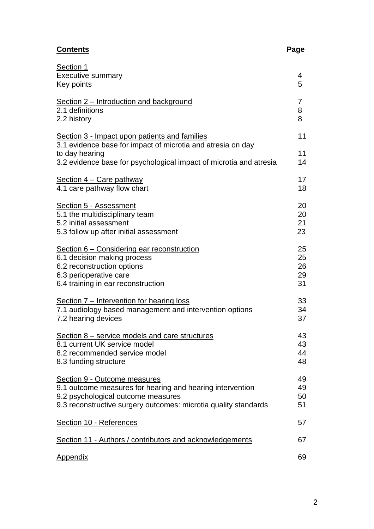# **Contents Page**

| Section 1                                                          |    |
|--------------------------------------------------------------------|----|
| <b>Executive summary</b>                                           | 4  |
| Key points                                                         | 5  |
|                                                                    |    |
| Section 2 – Introduction and background                            | 7  |
| 2.1 definitions                                                    | 8  |
| 2.2 history                                                        | 8  |
| Section 3 - Impact upon patients and families                      | 11 |
| 3.1 evidence base for impact of microtia and atresia on day        |    |
| to day hearing                                                     | 11 |
| 3.2 evidence base for psychological impact of microtia and atresia | 14 |
|                                                                    |    |
| Section 4 – Care pathway                                           | 17 |
| 4.1 care pathway flow chart                                        | 18 |
|                                                                    |    |
| <b>Section 5 - Assessment</b>                                      | 20 |
| 5.1 the multidisciplinary team                                     | 20 |
| 5.2 initial assessment                                             | 21 |
| 5.3 follow up after initial assessment                             | 23 |
|                                                                    | 25 |
| <u>Section 6 – Considering ear reconstruction</u>                  |    |
| 6.1 decision making process                                        | 25 |
| 6.2 reconstruction options                                         | 26 |
| 6.3 perioperative care                                             | 29 |
| 6.4 training in ear reconstruction                                 | 31 |
| Section 7 – Intervention for hearing loss                          | 33 |
| 7.1 audiology based management and intervention options            | 34 |
| 7.2 hearing devices                                                | 37 |
|                                                                    |    |
| Section 8 – service models and care structures                     | 43 |
| 8.1 current UK service model                                       | 43 |
| 8.2 recommended service model                                      | 44 |
| 8.3 funding structure                                              | 48 |
|                                                                    |    |
| Section 9 - Outcome measures                                       | 49 |
| 9.1 outcome measures for hearing and hearing intervention          | 49 |
| 9.2 psychological outcome measures                                 | 50 |
| 9.3 reconstructive surgery outcomes: microtia quality standards    | 51 |
| Section 10 - References                                            | 57 |
|                                                                    |    |
| Section 11 - Authors / contributors and acknowledgements           | 67 |
|                                                                    |    |
| <b>Appendix</b>                                                    | 69 |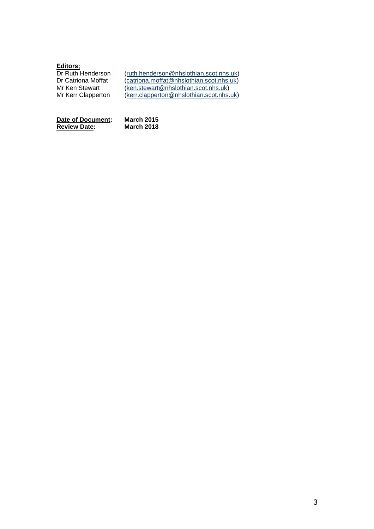#### **Editors;**

| Dr Ruth Henderson  | (ruth.henderson@nhslothian.scot.nhs.uk)  |
|--------------------|------------------------------------------|
| Dr Catriona Moffat | (catriona.moffat@nhslothian.scot.nhs.uk) |
| Mr Ken Stewart     | (ken.stewart@nhslothian.scot.nhs.uk)     |
| Mr Kerr Clapperton | (kerr.clapperton@nhslothian.scot.nhs.uk) |

**Date of Document: March 2015 Review Date: March 2018**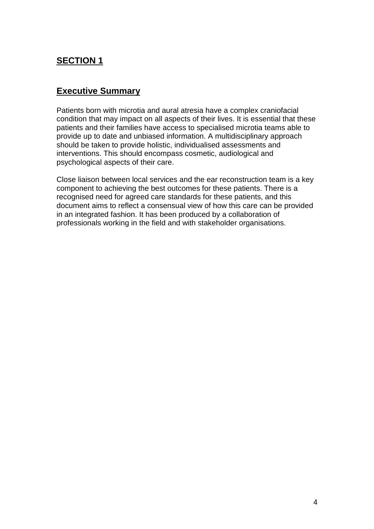# **SECTION 1**

### **Executive Summary**

Patients born with microtia and aural atresia have a complex craniofacial condition that may impact on all aspects of their lives. It is essential that these patients and their families have access to specialised microtia teams able to provide up to date and unbiased information. A multidisciplinary approach should be taken to provide holistic, individualised assessments and interventions. This should encompass cosmetic, audiological and psychological aspects of their care.

Close liaison between local services and the ear reconstruction team is a key component to achieving the best outcomes for these patients. There is a recognised need for agreed care standards for these patients, and this document aims to reflect a consensual view of how this care can be provided in an integrated fashion. It has been produced by a collaboration of professionals working in the field and with stakeholder organisations.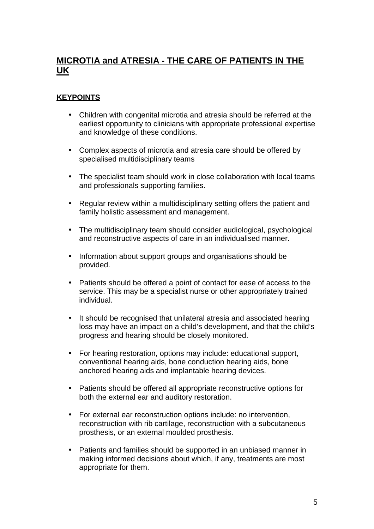# **MICROTIA and ATRESIA - THE CARE OF PATIENTS IN THE UK**

#### **KEYPOINTS**

- Children with congenital microtia and atresia should be referred at the earliest opportunity to clinicians with appropriate professional expertise and knowledge of these conditions.
- Complex aspects of microtia and atresia care should be offered by specialised multidisciplinary teams
- The specialist team should work in close collaboration with local teams and professionals supporting families.
- Regular review within a multidisciplinary setting offers the patient and family holistic assessment and management.
- The multidisciplinary team should consider audiological, psychological and reconstructive aspects of care in an individualised manner.
- Information about support groups and organisations should be provided.
- Patients should be offered a point of contact for ease of access to the service. This may be a specialist nurse or other appropriately trained individual.
- It should be recognised that unilateral atresia and associated hearing loss may have an impact on a child's development, and that the child's progress and hearing should be closely monitored.
- For hearing restoration, options may include: educational support, conventional hearing aids, bone conduction hearing aids, bone anchored hearing aids and implantable hearing devices.
- Patients should be offered all appropriate reconstructive options for both the external ear and auditory restoration.
- For external ear reconstruction options include: no intervention, reconstruction with rib cartilage, reconstruction with a subcutaneous prosthesis, or an external moulded prosthesis.
- Patients and families should be supported in an unbiased manner in making informed decisions about which, if any, treatments are most appropriate for them.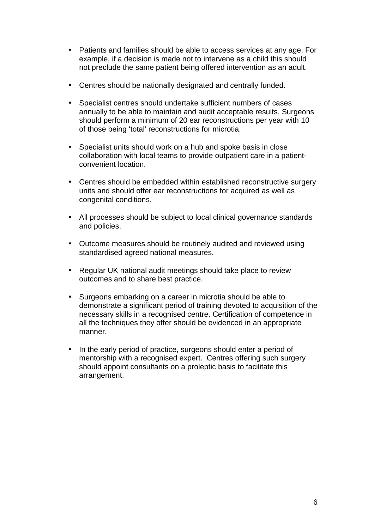- Patients and families should be able to access services at any age. For example, if a decision is made not to intervene as a child this should not preclude the same patient being offered intervention as an adult.
- Centres should be nationally designated and centrally funded.
- Specialist centres should undertake sufficient numbers of cases annually to be able to maintain and audit acceptable results. Surgeons should perform a minimum of 20 ear reconstructions per year with 10 of those being 'total' reconstructions for microtia.
- Specialist units should work on a hub and spoke basis in close collaboration with local teams to provide outpatient care in a patientconvenient location.
- Centres should be embedded within established reconstructive surgery units and should offer ear reconstructions for acquired as well as congenital conditions.
- All processes should be subject to local clinical governance standards and policies.
- Outcome measures should be routinely audited and reviewed using standardised agreed national measures.
- Regular UK national audit meetings should take place to review outcomes and to share best practice.
- Surgeons embarking on a career in microtia should be able to demonstrate a significant period of training devoted to acquisition of the necessary skills in a recognised centre. Certification of competence in all the techniques they offer should be evidenced in an appropriate manner.
- In the early period of practice, surgeons should enter a period of mentorship with a recognised expert. Centres offering such surgery should appoint consultants on a proleptic basis to facilitate this arrangement.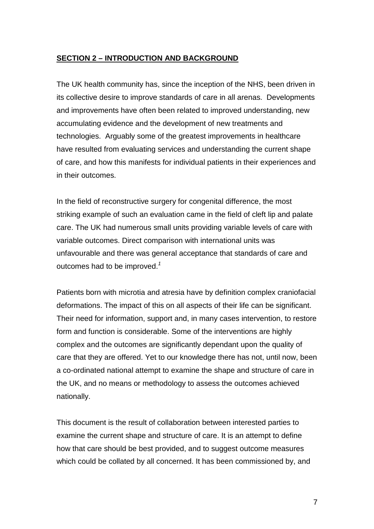#### **SECTION 2 – INTRODUCTION AND BACKGROUND**

The UK health community has, since the inception of the NHS, been driven in its collective desire to improve standards of care in all arenas. Developments and improvements have often been related to improved understanding, new accumulating evidence and the development of new treatments and technologies. Arguably some of the greatest improvements in healthcare have resulted from evaluating services and understanding the current shape of care, and how this manifests for individual patients in their experiences and in their outcomes.

In the field of reconstructive surgery for congenital difference, the most striking example of such an evaluation came in the field of cleft lip and palate care. The UK had numerous small units providing variable levels of care with variable outcomes. Direct comparison with international units was unfavourable and there was general acceptance that standards of care and outcomes had to be improved. $<sup>1</sup>$ </sup>

Patients born with microtia and atresia have by definition complex craniofacial deformations. The impact of this on all aspects of their life can be significant. Their need for information, support and, in many cases intervention, to restore form and function is considerable. Some of the interventions are highly complex and the outcomes are significantly dependant upon the quality of care that they are offered. Yet to our knowledge there has not, until now, been a co-ordinated national attempt to examine the shape and structure of care in the UK, and no means or methodology to assess the outcomes achieved nationally.

This document is the result of collaboration between interested parties to examine the current shape and structure of care. It is an attempt to define how that care should be best provided, and to suggest outcome measures which could be collated by all concerned. It has been commissioned by, and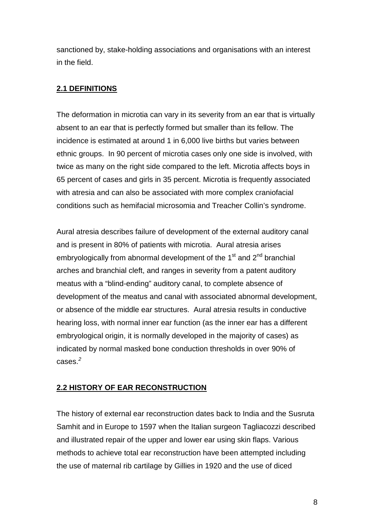sanctioned by, stake-holding associations and organisations with an interest in the field.

#### **2.1 DEFINITIONS**

The deformation in microtia can vary in its severity from an ear that is virtually absent to an ear that is perfectly formed but smaller than its fellow. The incidence is estimated at around 1 in 6,000 live births but varies between ethnic groups. In 90 percent of microtia cases only one side is involved, with twice as many on the right side compared to the left. Microtia affects boys in 65 percent of cases and girls in 35 percent. Microtia is frequently associated with atresia and can also be associated with more complex craniofacial conditions such as hemifacial microsomia and Treacher Collin's syndrome.

Aural atresia describes failure of development of the external auditory canal and is present in 80% of patients with microtia. Aural atresia arises embryologically from abnormal development of the  $1<sup>st</sup>$  and  $2<sup>nd</sup>$  branchial arches and branchial cleft, and ranges in severity from a patent auditory meatus with a "blind-ending" auditory canal, to complete absence of development of the meatus and canal with associated abnormal development, or absence of the middle ear structures. Aural atresia results in conductive hearing loss, with normal inner ear function (as the inner ear has a different embryological origin, it is normally developed in the majority of cases) as indicated by normal masked bone conduction thresholds in over 90% of cases.<sup>2</sup>

### **2.2 HISTORY OF EAR RECONSTRUCTION**

The history of external ear reconstruction dates back to India and the Susruta Samhit and in Europe to 1597 when the Italian surgeon Tagliacozzi described and illustrated repair of the upper and lower ear using skin flaps. Various methods to achieve total ear reconstruction have been attempted including the use of maternal rib cartilage by Gillies in 1920 and the use of diced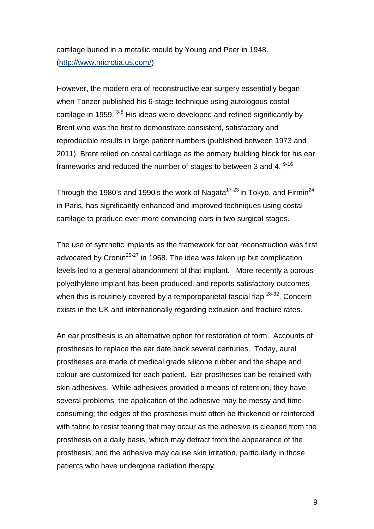cartilage buried in a metallic mould by Young and Peer in 1948. (http://www.microtia.us.com/)

However, the modern era of reconstructive ear surgery essentially began when Tanzer published his 6-stage technique using autologous costal cartilage in 1959.<sup>3-8</sup> His ideas were developed and refined significantly by Brent who was the first to demonstrate consistent, satisfactory and reproducible results in large patient numbers (published between 1973 and 2011). Brent relied on costal cartilage as the primary building block for his ear frameworks and reduced the number of stages to between 3 and 4. <sup>9-16</sup>

Through the 1980's and 1990's the work of Nagata<sup>17-23</sup> in Tokyo, and Firmin<sup>24</sup> in Paris, has significantly enhanced and improved techniques using costal cartilage to produce ever more convincing ears in two surgical stages.

The use of synthetic implants as the framework for ear reconstruction was first advocated by Cronin<sup>25-27</sup> in 1968. The idea was taken up but complication levels led to a general abandonment of that implant. More recently a porous polyethylene implant has been produced, and reports satisfactory outcomes when this is routinely covered by a temporoparietal fascial flap  $28-32$ . Concern exists in the UK and internationally regarding extrusion and fracture rates.

An ear prosthesis is an alternative option for restoration of form. Accounts of prostheses to replace the ear date back several centuries. Today, aural prostheses are made of medical grade silicone rubber and the shape and colour are customized for each patient. Ear prostheses can be retained with skin adhesives. While adhesives provided a means of retention, they have several problems: the application of the adhesive may be messy and timeconsuming; the edges of the prosthesis must often be thickened or reinforced with fabric to resist tearing that may occur as the adhesive is cleaned from the prosthesis on a daily basis, which may detract from the appearance of the prosthesis; and the adhesive may cause skin irritation, particularly in those patients who have undergone radiation therapy.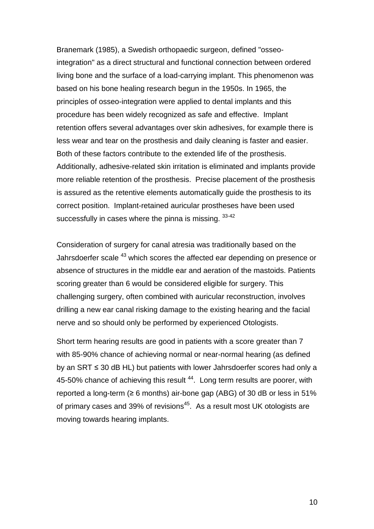Branemark (1985), a Swedish orthopaedic surgeon, defined "osseointegration" as a direct structural and functional connection between ordered living bone and the surface of a load-carrying implant. This phenomenon was based on his bone healing research begun in the 1950s. In 1965, the principles of osseo-integration were applied to dental implants and this procedure has been widely recognized as safe and effective. Implant retention offers several advantages over skin adhesives, for example there is less wear and tear on the prosthesis and daily cleaning is faster and easier. Both of these factors contribute to the extended life of the prosthesis. Additionally, adhesive-related skin irritation is eliminated and implants provide more reliable retention of the prosthesis. Precise placement of the prosthesis is assured as the retentive elements automatically guide the prosthesis to its correct position. Implant-retained auricular prostheses have been used successfully in cases where the pinna is missing.  $33-42$ 

Consideration of surgery for canal atresia was traditionally based on the Jahrsdoerfer scale <sup>43</sup> which scores the affected ear depending on presence or absence of structures in the middle ear and aeration of the mastoids. Patients scoring greater than 6 would be considered eligible for surgery. This challenging surgery, often combined with auricular reconstruction, involves drilling a new ear canal risking damage to the existing hearing and the facial nerve and so should only be performed by experienced Otologists.

Short term hearing results are good in patients with a score greater than 7 with 85-90% chance of achieving normal or near-normal hearing (as defined by an SRT ≤ 30 dB HL) but patients with lower Jahrsdoerfer scores had only a 45-50% chance of achieving this result<sup>44</sup>. Long term results are poorer, with reported a long-term ( $\geq 6$  months) air-bone gap (ABG) of 30 dB or less in 51% of primary cases and 39% of revisions<sup>45</sup>. As a result most UK otologists are moving towards hearing implants.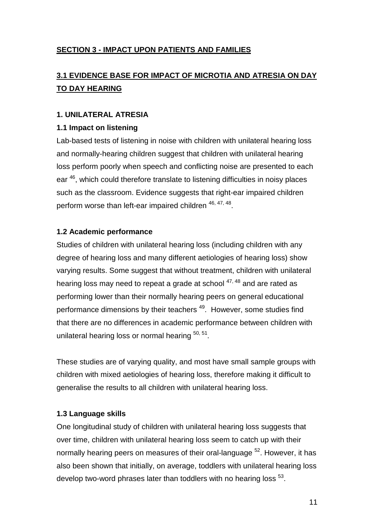### **SECTION 3 - IMPACT UPON PATIENTS AND FAMILIES**

# **3.1 EVIDENCE BASE FOR IMPACT OF MICROTIA AND ATRESIA ON DAY TO DAY HEARING**

#### **1. UNILATERAL ATRESIA**

#### **1.1 Impact on listening**

Lab-based tests of listening in noise with children with unilateral hearing loss and normally-hearing children suggest that children with unilateral hearing loss perform poorly when speech and conflicting noise are presented to each ear <sup>46</sup>, which could therefore translate to listening difficulties in noisy places such as the classroom. Evidence suggests that right-ear impaired children perform worse than left-ear impaired children <sup>46, 47, 48</sup>.

#### **1.2 Academic performance**

Studies of children with unilateral hearing loss (including children with any degree of hearing loss and many different aetiologies of hearing loss) show varying results. Some suggest that without treatment, children with unilateral hearing loss may need to repeat a grade at school  $47,48$  and are rated as performing lower than their normally hearing peers on general educational performance dimensions by their teachers<sup>49</sup>. However, some studies find that there are no differences in academic performance between children with unilateral hearing loss or normal hearing  $50, 51$ .

These studies are of varying quality, and most have small sample groups with children with mixed aetiologies of hearing loss, therefore making it difficult to generalise the results to all children with unilateral hearing loss.

### **1.3 Language skills**

One longitudinal study of children with unilateral hearing loss suggests that over time, children with unilateral hearing loss seem to catch up with their normally hearing peers on measures of their oral-language <sup>52</sup>. However, it has also been shown that initially, on average, toddlers with unilateral hearing loss develop two-word phrases later than toddlers with no hearing loss  $^{53}$ .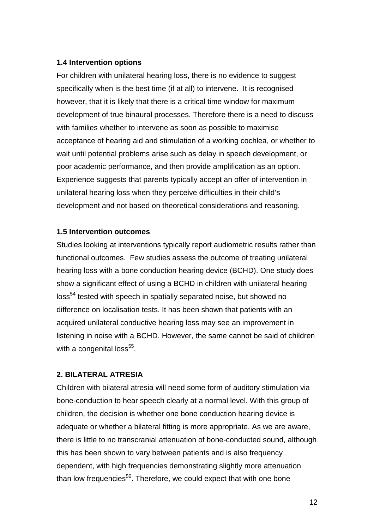#### **1.4 Intervention options**

For children with unilateral hearing loss, there is no evidence to suggest specifically when is the best time (if at all) to intervene. It is recognised however, that it is likely that there is a critical time window for maximum development of true binaural processes. Therefore there is a need to discuss with families whether to intervene as soon as possible to maximise acceptance of hearing aid and stimulation of a working cochlea, or whether to wait until potential problems arise such as delay in speech development, or poor academic performance, and then provide amplification as an option. Experience suggests that parents typically accept an offer of intervention in unilateral hearing loss when they perceive difficulties in their child's development and not based on theoretical considerations and reasoning.

#### **1.5 Intervention outcomes**

Studies looking at interventions typically report audiometric results rather than functional outcomes. Few studies assess the outcome of treating unilateral hearing loss with a bone conduction hearing device (BCHD). One study does show a significant effect of using a BCHD in children with unilateral hearing loss<sup>54</sup> tested with speech in spatially separated noise, but showed no difference on localisation tests. It has been shown that patients with an acquired unilateral conductive hearing loss may see an improvement in listening in noise with a BCHD. However, the same cannot be said of children with a congenital loss $^{55}$ .

#### **2. BILATERAL ATRESIA**

Children with bilateral atresia will need some form of auditory stimulation via bone-conduction to hear speech clearly at a normal level. With this group of children, the decision is whether one bone conduction hearing device is adequate or whether a bilateral fitting is more appropriate. As we are aware, there is little to no transcranial attenuation of bone-conducted sound, although this has been shown to vary between patients and is also frequency dependent, with high frequencies demonstrating slightly more attenuation than low frequencies<sup>56</sup>. Therefore, we could expect that with one bone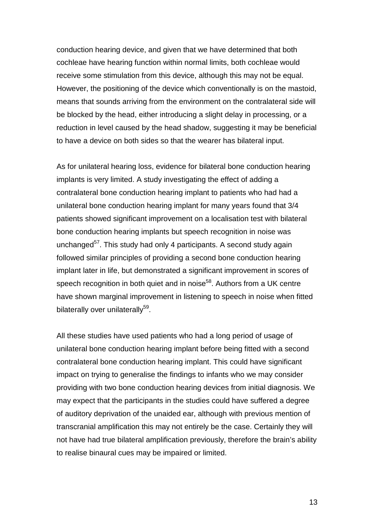conduction hearing device, and given that we have determined that both cochleae have hearing function within normal limits, both cochleae would receive some stimulation from this device, although this may not be equal. However, the positioning of the device which conventionally is on the mastoid, means that sounds arriving from the environment on the contralateral side will be blocked by the head, either introducing a slight delay in processing, or a reduction in level caused by the head shadow, suggesting it may be beneficial to have a device on both sides so that the wearer has bilateral input.

As for unilateral hearing loss, evidence for bilateral bone conduction hearing implants is very limited. A study investigating the effect of adding a contralateral bone conduction hearing implant to patients who had had a unilateral bone conduction hearing implant for many years found that 3/4 patients showed significant improvement on a localisation test with bilateral bone conduction hearing implants but speech recognition in noise was unchanged $57$ . This study had only 4 participants. A second study again followed similar principles of providing a second bone conduction hearing implant later in life, but demonstrated a significant improvement in scores of speech recognition in both quiet and in noise<sup>58</sup>. Authors from a UK centre have shown marginal improvement in listening to speech in noise when fitted bilaterally over unilaterally<sup>59</sup>.

All these studies have used patients who had a long period of usage of unilateral bone conduction hearing implant before being fitted with a second contralateral bone conduction hearing implant. This could have significant impact on trying to generalise the findings to infants who we may consider providing with two bone conduction hearing devices from initial diagnosis. We may expect that the participants in the studies could have suffered a degree of auditory deprivation of the unaided ear, although with previous mention of transcranial amplification this may not entirely be the case. Certainly they will not have had true bilateral amplification previously, therefore the brain's ability to realise binaural cues may be impaired or limited.

13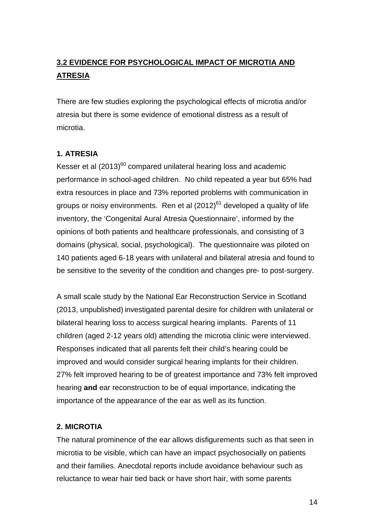# **3.2 EVIDENCE FOR PSYCHOLOGICAL IMPACT OF MICROTIA AND ATRESIA**

There are few studies exploring the psychological effects of microtia and/or atresia but there is some evidence of emotional distress as a result of microtia.

#### **1. ATRESIA**

Kesser et al  $(2013)^{60}$  compared unilateral hearing loss and academic performance in school-aged children. No child repeated a year but 65% had extra resources in place and 73% reported problems with communication in groups or noisy environments. Ren et al  $(2012)^{61}$  developed a quality of life inventory, the 'Congenital Aural Atresia Questionnaire', informed by the opinions of both patients and healthcare professionals, and consisting of 3 domains (physical, social, psychological). The questionnaire was piloted on 140 patients aged 6-18 years with unilateral and bilateral atresia and found to be sensitive to the severity of the condition and changes pre- to post-surgery.

A small scale study by the National Ear Reconstruction Service in Scotland (2013, unpublished) investigated parental desire for children with unilateral or bilateral hearing loss to access surgical hearing implants. Parents of 11 children (aged 2-12 years old) attending the microtia clinic were interviewed. Responses indicated that all parents felt their child's hearing could be improved and would consider surgical hearing implants for their children. 27% felt improved hearing to be of greatest importance and 73% felt improved hearing **and** ear reconstruction to be of equal importance, indicating the importance of the appearance of the ear as well as its function.

#### **2. MICROTIA**

The natural prominence of the ear allows disfigurements such as that seen in microtia to be visible, which can have an impact psychosocially on patients and their families. Anecdotal reports include avoidance behaviour such as reluctance to wear hair tied back or have short hair, with some parents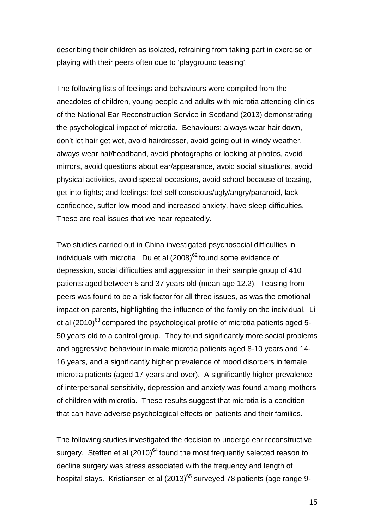describing their children as isolated, refraining from taking part in exercise or playing with their peers often due to 'playground teasing'.

The following lists of feelings and behaviours were compiled from the anecdotes of children, young people and adults with microtia attending clinics of the National Ear Reconstruction Service in Scotland (2013) demonstrating the psychological impact of microtia. Behaviours: always wear hair down, don't let hair get wet, avoid hairdresser, avoid going out in windy weather, always wear hat/headband, avoid photographs or looking at photos, avoid mirrors, avoid questions about ear/appearance, avoid social situations, avoid physical activities, avoid special occasions, avoid school because of teasing, get into fights; and feelings: feel self conscious/ugly/angry/paranoid, lack confidence, suffer low mood and increased anxiety, have sleep difficulties. These are real issues that we hear repeatedly.

Two studies carried out in China investigated psychosocial difficulties in individuals with microtia. Du et al  $(2008)^{62}$  found some evidence of depression, social difficulties and aggression in their sample group of 410 patients aged between 5 and 37 years old (mean age 12.2). Teasing from peers was found to be a risk factor for all three issues, as was the emotional impact on parents, highlighting the influence of the family on the individual. Li et al  $(2010)^{63}$  compared the psychological profile of microtia patients aged 5-50 years old to a control group. They found significantly more social problems and aggressive behaviour in male microtia patients aged 8-10 years and 14- 16 years, and a significantly higher prevalence of mood disorders in female microtia patients (aged 17 years and over). A significantly higher prevalence of interpersonal sensitivity, depression and anxiety was found among mothers of children with microtia. These results suggest that microtia is a condition that can have adverse psychological effects on patients and their families.

The following studies investigated the decision to undergo ear reconstructive surgery. Steffen et al  $(2010)^{64}$  found the most frequently selected reason to decline surgery was stress associated with the frequency and length of hospital stays. Kristiansen et al  $(2013)^{65}$  surveyed 78 patients (age range 9-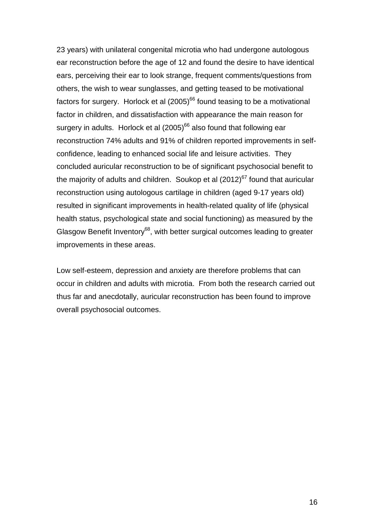23 years) with unilateral congenital microtia who had undergone autologous ear reconstruction before the age of 12 and found the desire to have identical ears, perceiving their ear to look strange, frequent comments/questions from others, the wish to wear sunglasses, and getting teased to be motivational factors for surgery. Horlock et al  $(2005)^{66}$  found teasing to be a motivational factor in children, and dissatisfaction with appearance the main reason for surgery in adults. Horlock et al  $(2005)^{66}$  also found that following ear reconstruction 74% adults and 91% of children reported improvements in selfconfidence, leading to enhanced social life and leisure activities. They concluded auricular reconstruction to be of significant psychosocial benefit to the majority of adults and children. Soukop et al  $(2012)^{67}$  found that auricular reconstruction using autologous cartilage in children (aged 9-17 years old) resulted in significant improvements in health-related quality of life (physical health status, psychological state and social functioning) as measured by the Glasgow Benefit Inventory<sup>68</sup>, with better surgical outcomes leading to greater improvements in these areas.

Low self-esteem, depression and anxiety are therefore problems that can occur in children and adults with microtia. From both the research carried out thus far and anecdotally, auricular reconstruction has been found to improve overall psychosocial outcomes.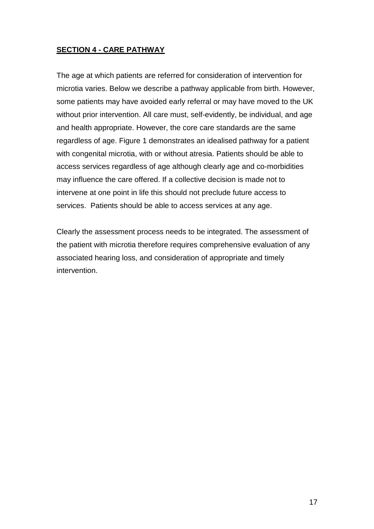#### **SECTION 4 - CARE PATHWAY**

The age at which patients are referred for consideration of intervention for microtia varies. Below we describe a pathway applicable from birth. However, some patients may have avoided early referral or may have moved to the UK without prior intervention. All care must, self-evidently, be individual, and age and health appropriate. However, the core care standards are the same regardless of age. Figure 1 demonstrates an idealised pathway for a patient with congenital microtia, with or without atresia. Patients should be able to access services regardless of age although clearly age and co-morbidities may influence the care offered. If a collective decision is made not to intervene at one point in life this should not preclude future access to services. Patients should be able to access services at any age.

Clearly the assessment process needs to be integrated. The assessment of the patient with microtia therefore requires comprehensive evaluation of any associated hearing loss, and consideration of appropriate and timely intervention.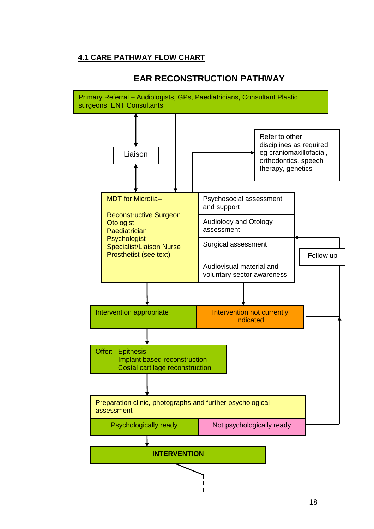### **4.1 CARE PATHWAY FLOW CHART**



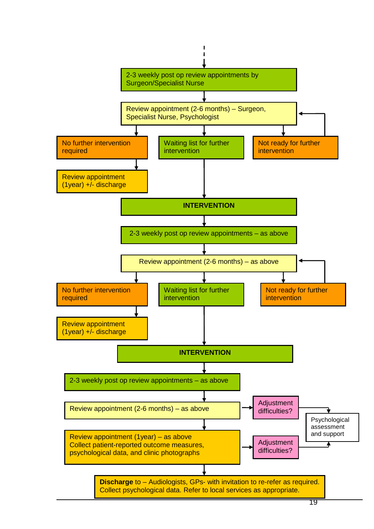

 $\mathbf{I}$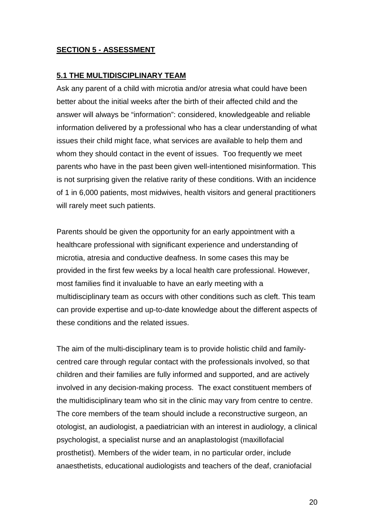#### **SECTION 5 - ASSESSMENT**

#### **5.1 THE MULTIDISCIPLINARY TEAM**

Ask any parent of a child with microtia and/or atresia what could have been better about the initial weeks after the birth of their affected child and the answer will always be "information": considered, knowledgeable and reliable information delivered by a professional who has a clear understanding of what issues their child might face, what services are available to help them and whom they should contact in the event of issues. Too frequently we meet parents who have in the past been given well-intentioned misinformation. This is not surprising given the relative rarity of these conditions. With an incidence of 1 in 6,000 patients, most midwives, health visitors and general practitioners will rarely meet such patients.

Parents should be given the opportunity for an early appointment with a healthcare professional with significant experience and understanding of microtia, atresia and conductive deafness. In some cases this may be provided in the first few weeks by a local health care professional. However, most families find it invaluable to have an early meeting with a multidisciplinary team as occurs with other conditions such as cleft. This team can provide expertise and up-to-date knowledge about the different aspects of these conditions and the related issues.

The aim of the multi-disciplinary team is to provide holistic child and familycentred care through regular contact with the professionals involved, so that children and their families are fully informed and supported, and are actively involved in any decision-making process. The exact constituent members of the multidisciplinary team who sit in the clinic may vary from centre to centre. The core members of the team should include a reconstructive surgeon, an otologist, an audiologist, a paediatrician with an interest in audiology, a clinical psychologist, a specialist nurse and an anaplastologist (maxillofacial prosthetist). Members of the wider team, in no particular order, include anaesthetists, educational audiologists and teachers of the deaf, craniofacial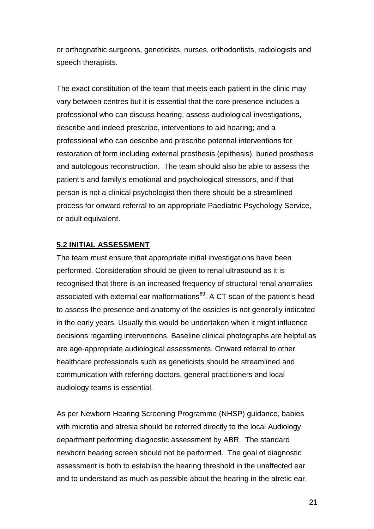or orthognathic surgeons, geneticists, nurses, orthodontists, radiologists and speech therapists.

The exact constitution of the team that meets each patient in the clinic may vary between centres but it is essential that the core presence includes a professional who can discuss hearing, assess audiological investigations, describe and indeed prescribe, interventions to aid hearing; and a professional who can describe and prescribe potential interventions for restoration of form including external prosthesis (epithesis), buried prosthesis and autologous reconstruction. The team should also be able to assess the patient's and family's emotional and psychological stressors, and if that person is not a clinical psychologist then there should be a streamlined process for onward referral to an appropriate Paediatric Psychology Service, or adult equivalent.

#### **5.2 INITIAL ASSESSMENT**

The team must ensure that appropriate initial investigations have been performed. Consideration should be given to renal ultrasound as it is recognised that there is an increased frequency of structural renal anomalies associated with external ear malformations<sup>69</sup>. A CT scan of the patient's head to assess the presence and anatomy of the ossicles is not generally indicated in the early years. Usually this would be undertaken when it might influence decisions regarding interventions. Baseline clinical photographs are helpful as are age-appropriate audiological assessments. Onward referral to other healthcare professionals such as geneticists should be streamlined and communication with referring doctors, general practitioners and local audiology teams is essential.

As per Newborn Hearing Screening Programme (NHSP) guidance, babies with microtia and atresia should be referred directly to the local Audiology department performing diagnostic assessment by ABR. The standard newborn hearing screen should not be performed. The goal of diagnostic assessment is both to establish the hearing threshold in the unaffected ear and to understand as much as possible about the hearing in the atretic ear.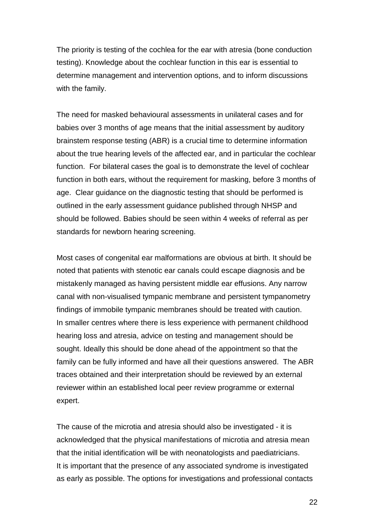The priority is testing of the cochlea for the ear with atresia (bone conduction testing). Knowledge about the cochlear function in this ear is essential to determine management and intervention options, and to inform discussions with the family.

The need for masked behavioural assessments in unilateral cases and for babies over 3 months of age means that the initial assessment by auditory brainstem response testing (ABR) is a crucial time to determine information about the true hearing levels of the affected ear, and in particular the cochlear function. For bilateral cases the goal is to demonstrate the level of cochlear function in both ears, without the requirement for masking, before 3 months of age. Clear guidance on the diagnostic testing that should be performed is outlined in the early assessment guidance published through NHSP and should be followed. Babies should be seen within 4 weeks of referral as per standards for newborn hearing screening.

Most cases of congenital ear malformations are obvious at birth. It should be noted that patients with stenotic ear canals could escape diagnosis and be mistakenly managed as having persistent middle ear effusions. Any narrow canal with non-visualised tympanic membrane and persistent tympanometry findings of immobile tympanic membranes should be treated with caution. In smaller centres where there is less experience with permanent childhood hearing loss and atresia, advice on testing and management should be sought. Ideally this should be done ahead of the appointment so that the family can be fully informed and have all their questions answered. The ABR traces obtained and their interpretation should be reviewed by an external reviewer within an established local peer review programme or external expert.

The cause of the microtia and atresia should also be investigated - it is acknowledged that the physical manifestations of microtia and atresia mean that the initial identification will be with neonatologists and paediatricians. It is important that the presence of any associated syndrome is investigated as early as possible. The options for investigations and professional contacts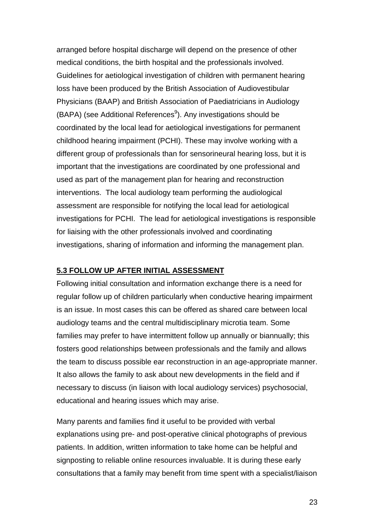arranged before hospital discharge will depend on the presence of other medical conditions, the birth hospital and the professionals involved. Guidelines for aetiological investigation of children with permanent hearing loss have been produced by the British Association of Audiovestibular Physicians (BAAP) and British Association of Paediatricians in Audiology (BAPA) (see Additional References<sup>9</sup>). Any investigations should be coordinated by the local lead for aetiological investigations for permanent childhood hearing impairment (PCHI). These may involve working with a different group of professionals than for sensorineural hearing loss, but it is important that the investigations are coordinated by one professional and used as part of the management plan for hearing and reconstruction interventions. The local audiology team performing the audiological assessment are responsible for notifying the local lead for aetiological investigations for PCHI. The lead for aetiological investigations is responsible for liaising with the other professionals involved and coordinating investigations, sharing of information and informing the management plan.

#### **5.3 FOLLOW UP AFTER INITIAL ASSESSMENT**

Following initial consultation and information exchange there is a need for regular follow up of children particularly when conductive hearing impairment is an issue. In most cases this can be offered as shared care between local audiology teams and the central multidisciplinary microtia team. Some families may prefer to have intermittent follow up annually or biannually; this fosters good relationships between professionals and the family and allows the team to discuss possible ear reconstruction in an age-appropriate manner. It also allows the family to ask about new developments in the field and if necessary to discuss (in liaison with local audiology services) psychosocial, educational and hearing issues which may arise.

Many parents and families find it useful to be provided with verbal explanations using pre- and post-operative clinical photographs of previous patients. In addition, written information to take home can be helpful and signposting to reliable online resources invaluable. It is during these early consultations that a family may benefit from time spent with a specialist/liaison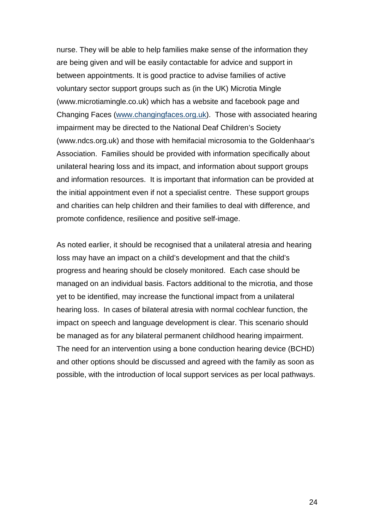nurse. They will be able to help families make sense of the information they are being given and will be easily contactable for advice and support in between appointments. It is good practice to advise families of active voluntary sector support groups such as (in the UK) Microtia Mingle (www.microtiamingle.co.uk) which has a website and facebook page and Changing Faces (www.changingfaces.org.uk). Those with associated hearing impairment may be directed to the National Deaf Children's Society (www.ndcs.org.uk) and those with hemifacial microsomia to the Goldenhaar's Association. Families should be provided with information specifically about unilateral hearing loss and its impact, and information about support groups and information resources. It is important that information can be provided at the initial appointment even if not a specialist centre. These support groups and charities can help children and their families to deal with difference, and promote confidence, resilience and positive self-image.

As noted earlier, it should be recognised that a unilateral atresia and hearing loss may have an impact on a child's development and that the child's progress and hearing should be closely monitored. Each case should be managed on an individual basis. Factors additional to the microtia, and those yet to be identified, may increase the functional impact from a unilateral hearing loss. In cases of bilateral atresia with normal cochlear function, the impact on speech and language development is clear. This scenario should be managed as for any bilateral permanent childhood hearing impairment. The need for an intervention using a bone conduction hearing device (BCHD) and other options should be discussed and agreed with the family as soon as possible, with the introduction of local support services as per local pathways.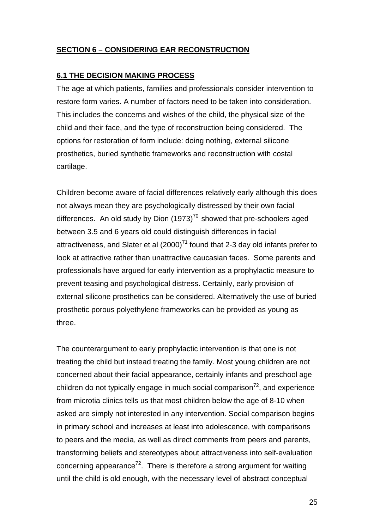#### **SECTION 6 – CONSIDERING EAR RECONSTRUCTION**

#### **6.1 THE DECISION MAKING PROCESS**

The age at which patients, families and professionals consider intervention to restore form varies. A number of factors need to be taken into consideration. This includes the concerns and wishes of the child, the physical size of the child and their face, and the type of reconstruction being considered. The options for restoration of form include: doing nothing, external silicone prosthetics, buried synthetic frameworks and reconstruction with costal cartilage.

Children become aware of facial differences relatively early although this does not always mean they are psychologically distressed by their own facial differences. An old study by Dion  $(1973)^{70}$  showed that pre-schoolers aged between 3.5 and 6 years old could distinguish differences in facial attractiveness, and Slater et al  $(2000)^{71}$  found that 2-3 day old infants prefer to look at attractive rather than unattractive caucasian faces. Some parents and professionals have argued for early intervention as a prophylactic measure to prevent teasing and psychological distress. Certainly, early provision of external silicone prosthetics can be considered. Alternatively the use of buried prosthetic porous polyethylene frameworks can be provided as young as three.

The counterargument to early prophylactic intervention is that one is not treating the child but instead treating the family. Most young children are not concerned about their facial appearance, certainly infants and preschool age children do not typically engage in much social comparison $72$ , and experience from microtia clinics tells us that most children below the age of 8-10 when asked are simply not interested in any intervention. Social comparison begins in primary school and increases at least into adolescence, with comparisons to peers and the media, as well as direct comments from peers and parents, transforming beliefs and stereotypes about attractiveness into self-evaluation concerning appearance<sup>72</sup>. There is therefore a strong argument for waiting until the child is old enough, with the necessary level of abstract conceptual

25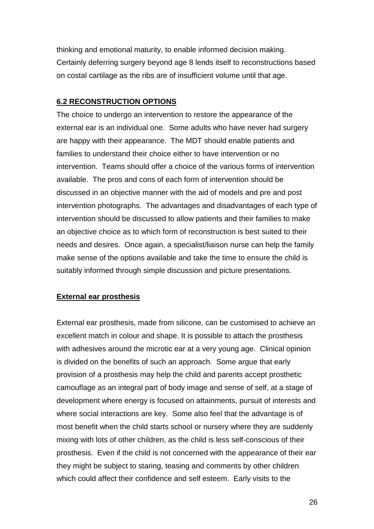thinking and emotional maturity, to enable informed decision making. Certainly deferring surgery beyond age 8 lends itself to reconstructions based on costal cartilage as the ribs are of insufficient volume until that age.

#### **6.2 RECONSTRUCTION OPTIONS**

The choice to undergo an intervention to restore the appearance of the external ear is an individual one. Some adults who have never had surgery are happy with their appearance. The MDT should enable patients and families to understand their choice either to have intervention or no intervention. Teams should offer a choice of the various forms of intervention available. The pros and cons of each form of intervention should be discussed in an objective manner with the aid of models and pre and post intervention photographs. The advantages and disadvantages of each type of intervention should be discussed to allow patients and their families to make an objective choice as to which form of reconstruction is best suited to their needs and desires. Once again, a specialist/liaison nurse can help the family make sense of the options available and take the time to ensure the child is suitably informed through simple discussion and picture presentations.

#### **External ear prosthesis**

External ear prosthesis, made from silicone, can be customised to achieve an excellent match in colour and shape. It is possible to attach the prosthesis with adhesives around the microtic ear at a very young age. Clinical opinion is divided on the benefits of such an approach. Some argue that early provision of a prosthesis may help the child and parents accept prosthetic camouflage as an integral part of body image and sense of self, at a stage of development where energy is focused on attainments, pursuit of interests and where social interactions are key. Some also feel that the advantage is of most benefit when the child starts school or nursery where they are suddenly mixing with lots of other children, as the child is less self-conscious of their prosthesis. Even if the child is not concerned with the appearance of their ear they might be subject to staring, teasing and comments by other children which could affect their confidence and self esteem. Early visits to the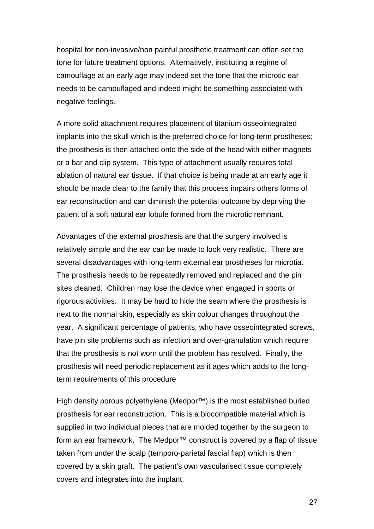hospital for non-invasive/non painful prosthetic treatment can often set the tone for future treatment options. Alternatively, instituting a regime of camouflage at an early age may indeed set the tone that the microtic ear needs to be camouflaged and indeed might be something associated with negative feelings.

A more solid attachment requires placement of titanium osseointegrated implants into the skull which is the preferred choice for long-term prostheses; the prosthesis is then attached onto the side of the head with either magnets or a bar and clip system. This type of attachment usually requires total ablation of natural ear tissue. If that choice is being made at an early age it should be made clear to the family that this process impairs others forms of ear reconstruction and can diminish the potential outcome by depriving the patient of a soft natural ear lobule formed from the microtic remnant.

Advantages of the external prosthesis are that the surgery involved is relatively simple and the ear can be made to look very realistic. There are several disadvantages with long-term external ear prostheses for microtia. The prosthesis needs to be repeatedly removed and replaced and the pin sites cleaned. Children may lose the device when engaged in sports or rigorous activities. It may be hard to hide the seam where the prosthesis is next to the normal skin, especially as skin colour changes throughout the year. A significant percentage of patients, who have osseointegrated screws, have pin site problems such as infection and over-granulation which require that the prosthesis is not worn until the problem has resolved. Finally, the prosthesis will need periodic replacement as it ages which adds to the longterm requirements of this procedure

High density porous polyethylene (Medpor™) is the most established buried prosthesis for ear reconstruction. This is a biocompatible material which is supplied in two individual pieces that are molded together by the surgeon to form an ear framework. The Medpor™ construct is covered by a flap of tissue taken from under the scalp (temporo-parietal fascial flap) which is then covered by a skin graft. The patient's own vascularised tissue completely covers and integrates into the implant.

27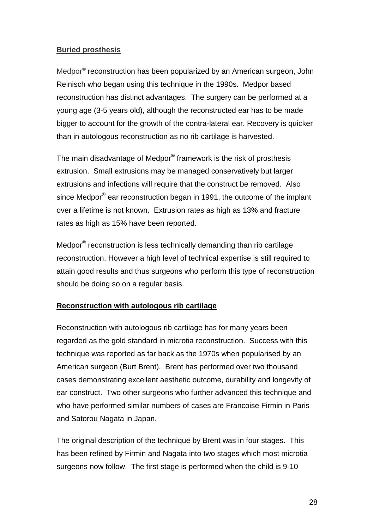#### **Buried prosthesis**

Medpor<sup>®</sup> reconstruction has been popularized by an American surgeon, John Reinisch who began using this technique in the 1990s. Medpor based reconstruction has distinct advantages. The surgery can be performed at a young age (3-5 years old), although the reconstructed ear has to be made bigger to account for the growth of the contra-lateral ear. Recovery is quicker than in autologous reconstruction as no rib cartilage is harvested.

The main disadvantage of Medpor® framework is the risk of prosthesis extrusion. Small extrusions may be managed conservatively but larger extrusions and infections will require that the construct be removed. Also since Medpor $^{\circledR}$  ear reconstruction began in 1991, the outcome of the implant over a lifetime is not known. Extrusion rates as high as 13% and fracture rates as high as 15% have been reported.

Medpor<sup>®</sup> reconstruction is less technically demanding than rib cartilage reconstruction. However a high level of technical expertise is still required to attain good results and thus surgeons who perform this type of reconstruction should be doing so on a regular basis.

#### **Reconstruction with autologous rib cartilage**

Reconstruction with autologous rib cartilage has for many years been regarded as the gold standard in microtia reconstruction. Success with this technique was reported as far back as the 1970s when popularised by an American surgeon (Burt Brent). Brent has performed over two thousand cases demonstrating excellent aesthetic outcome, durability and longevity of ear construct. Two other surgeons who further advanced this technique and who have performed similar numbers of cases are Francoise Firmin in Paris and Satorou Nagata in Japan.

The original description of the technique by Brent was in four stages. This has been refined by Firmin and Nagata into two stages which most microtia surgeons now follow. The first stage is performed when the child is 9-10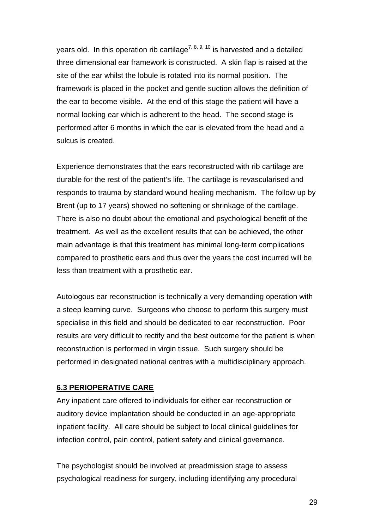years old. In this operation rib cartilage<sup>7, 8, 9, 10</sup> is harvested and a detailed three dimensional ear framework is constructed. A skin flap is raised at the site of the ear whilst the lobule is rotated into its normal position. The framework is placed in the pocket and gentle suction allows the definition of the ear to become visible. At the end of this stage the patient will have a normal looking ear which is adherent to the head. The second stage is performed after 6 months in which the ear is elevated from the head and a sulcus is created.

Experience demonstrates that the ears reconstructed with rib cartilage are durable for the rest of the patient's life. The cartilage is revascularised and responds to trauma by standard wound healing mechanism. The follow up by Brent (up to 17 years) showed no softening or shrinkage of the cartilage. There is also no doubt about the emotional and psychological benefit of the treatment. As well as the excellent results that can be achieved, the other main advantage is that this treatment has minimal long-term complications compared to prosthetic ears and thus over the years the cost incurred will be less than treatment with a prosthetic ear.

Autologous ear reconstruction is technically a very demanding operation with a steep learning curve. Surgeons who choose to perform this surgery must specialise in this field and should be dedicated to ear reconstruction. Poor results are very difficult to rectify and the best outcome for the patient is when reconstruction is performed in virgin tissue. Such surgery should be performed in designated national centres with a multidisciplinary approach.

#### **6.3 PERIOPERATIVE CARE**

Any inpatient care offered to individuals for either ear reconstruction or auditory device implantation should be conducted in an age-appropriate inpatient facility. All care should be subject to local clinical guidelines for infection control, pain control, patient safety and clinical governance.

The psychologist should be involved at preadmission stage to assess psychological readiness for surgery, including identifying any procedural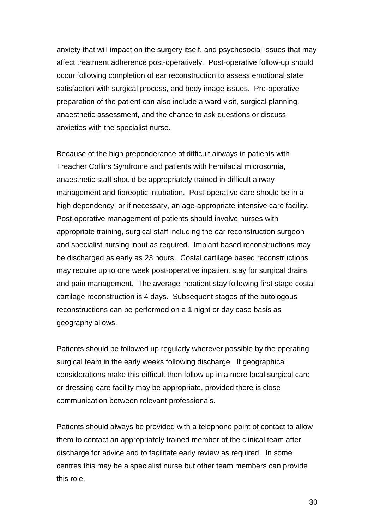anxiety that will impact on the surgery itself, and psychosocial issues that may affect treatment adherence post-operatively. Post-operative follow-up should occur following completion of ear reconstruction to assess emotional state, satisfaction with surgical process, and body image issues. Pre-operative preparation of the patient can also include a ward visit, surgical planning, anaesthetic assessment, and the chance to ask questions or discuss anxieties with the specialist nurse.

Because of the high preponderance of difficult airways in patients with Treacher Collins Syndrome and patients with hemifacial microsomia, anaesthetic staff should be appropriately trained in difficult airway management and fibreoptic intubation. Post-operative care should be in a high dependency, or if necessary, an age-appropriate intensive care facility. Post-operative management of patients should involve nurses with appropriate training, surgical staff including the ear reconstruction surgeon and specialist nursing input as required. Implant based reconstructions may be discharged as early as 23 hours. Costal cartilage based reconstructions may require up to one week post-operative inpatient stay for surgical drains and pain management. The average inpatient stay following first stage costal cartilage reconstruction is 4 days. Subsequent stages of the autologous reconstructions can be performed on a 1 night or day case basis as geography allows.

Patients should be followed up regularly wherever possible by the operating surgical team in the early weeks following discharge. If geographical considerations make this difficult then follow up in a more local surgical care or dressing care facility may be appropriate, provided there is close communication between relevant professionals.

Patients should always be provided with a telephone point of contact to allow them to contact an appropriately trained member of the clinical team after discharge for advice and to facilitate early review as required. In some centres this may be a specialist nurse but other team members can provide this role.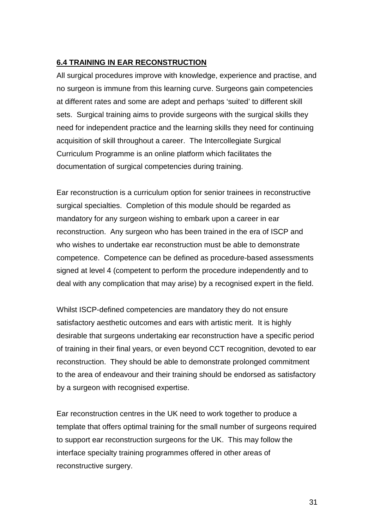#### **6.4 TRAINING IN EAR RECONSTRUCTION**

All surgical procedures improve with knowledge, experience and practise, and no surgeon is immune from this learning curve. Surgeons gain competencies at different rates and some are adept and perhaps 'suited' to different skill sets. Surgical training aims to provide surgeons with the surgical skills they need for independent practice and the learning skills they need for continuing acquisition of skill throughout a career. The Intercollegiate Surgical Curriculum Programme is an online platform which facilitates the documentation of surgical competencies during training.

Ear reconstruction is a curriculum option for senior trainees in reconstructive surgical specialties. Completion of this module should be regarded as mandatory for any surgeon wishing to embark upon a career in ear reconstruction. Any surgeon who has been trained in the era of ISCP and who wishes to undertake ear reconstruction must be able to demonstrate competence. Competence can be defined as procedure-based assessments signed at level 4 (competent to perform the procedure independently and to deal with any complication that may arise) by a recognised expert in the field.

Whilst ISCP-defined competencies are mandatory they do not ensure satisfactory aesthetic outcomes and ears with artistic merit. It is highly desirable that surgeons undertaking ear reconstruction have a specific period of training in their final years, or even beyond CCT recognition, devoted to ear reconstruction. They should be able to demonstrate prolonged commitment to the area of endeavour and their training should be endorsed as satisfactory by a surgeon with recognised expertise.

Ear reconstruction centres in the UK need to work together to produce a template that offers optimal training for the small number of surgeons required to support ear reconstruction surgeons for the UK. This may follow the interface specialty training programmes offered in other areas of reconstructive surgery.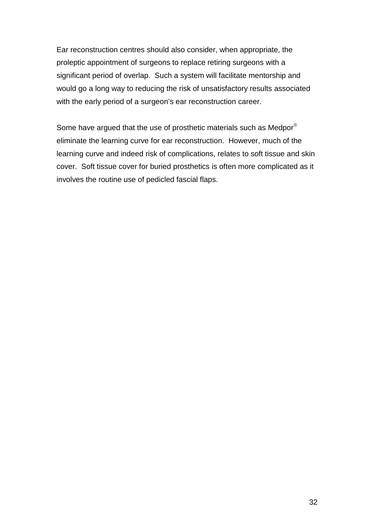Ear reconstruction centres should also consider, when appropriate, the proleptic appointment of surgeons to replace retiring surgeons with a significant period of overlap. Such a system will facilitate mentorship and would go a long way to reducing the risk of unsatisfactory results associated with the early period of a surgeon's ear reconstruction career.

Some have argued that the use of prosthetic materials such as Medpor<sup>®</sup> eliminate the learning curve for ear reconstruction. However, much of the learning curve and indeed risk of complications, relates to soft tissue and skin cover. Soft tissue cover for buried prosthetics is often more complicated as it involves the routine use of pedicled fascial flaps.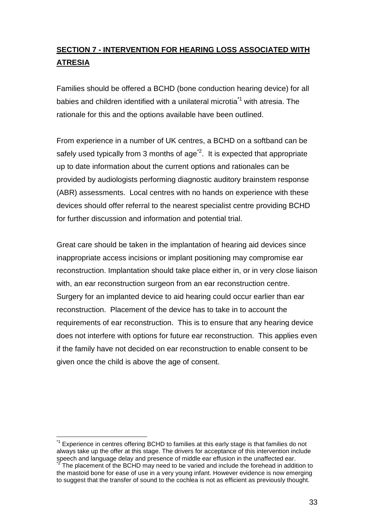# **SECTION 7 - INTERVENTION FOR HEARING LOSS ASSOCIATED WITH ATRESIA**

Families should be offered a BCHD (bone conduction hearing device) for all babies and children identified with a unilateral microtia<sup> $1$ </sup> with atresia. The rationale for this and the options available have been outlined.

From experience in a number of UK centres, a BCHD on a softband can be safely used typically from 3 months of  $aq e^{i2}$ . It is expected that appropriate up to date information about the current options and rationales can be provided by audiologists performing diagnostic auditory brainstem response (ABR) assessments. Local centres with no hands on experience with these devices should offer referral to the nearest specialist centre providing BCHD for further discussion and information and potential trial.

Great care should be taken in the implantation of hearing aid devices since inappropriate access incisions or implant positioning may compromise ear reconstruction. Implantation should take place either in, or in very close liaison with, an ear reconstruction surgeon from an ear reconstruction centre. Surgery for an implanted device to aid hearing could occur earlier than ear reconstruction. Placement of the device has to take in to account the requirements of ear reconstruction. This is to ensure that any hearing device does not interfere with options for future ear reconstruction. This applies even if the family have not decided on ear reconstruction to enable consent to be given once the child is above the age of consent.

 $\overline{a}$ Experience in centres offering BCHD to families at this early stage is that families do not always take up the offer at this stage. The drivers for acceptance of this intervention include speech and language delay and presence of middle ear effusion in the unaffected ear.

The placement of the BCHD may need to be varied and include the forehead in addition to the mastoid bone for ease of use in a very young infant. However evidence is now emerging to suggest that the transfer of sound to the cochlea is not as efficient as previously thought.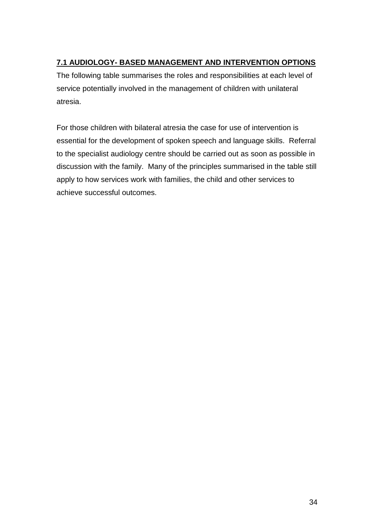### **7.1 AUDIOLOGY- BASED MANAGEMENT AND INTERVENTION OPTIONS**

The following table summarises the roles and responsibilities at each level of service potentially involved in the management of children with unilateral atresia.

For those children with bilateral atresia the case for use of intervention is essential for the development of spoken speech and language skills. Referral to the specialist audiology centre should be carried out as soon as possible in discussion with the family. Many of the principles summarised in the table still apply to how services work with families, the child and other services to achieve successful outcomes.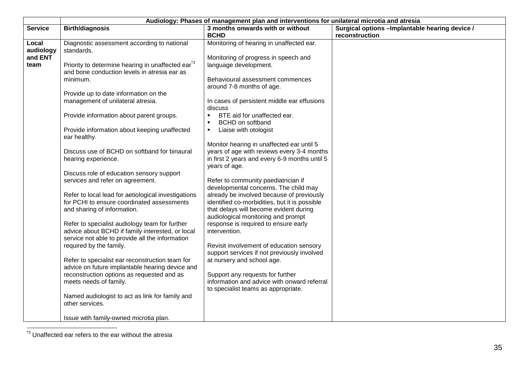|                | Audiology: Phases of management plan and interventions for unilateral microtia and atresia |                                                 |                                                                   |  |
|----------------|--------------------------------------------------------------------------------------------|-------------------------------------------------|-------------------------------------------------------------------|--|
| <b>Service</b> | <b>Birth/diagnosis</b>                                                                     | 3 months onwards with or without<br><b>BCHD</b> | Surgical options - Implantable hearing device /<br>reconstruction |  |
|                |                                                                                            |                                                 |                                                                   |  |
| Local          | Diagnostic assessment according to national                                                | Monitoring of hearing in unaffected ear.        |                                                                   |  |
| audiology      | standards.                                                                                 |                                                 |                                                                   |  |
| and ENT        |                                                                                            | Monitoring of progress in speech and            |                                                                   |  |
| team           | Priority to determine hearing in unaffected ear <sup>3</sup>                               | language development.                           |                                                                   |  |
|                | and bone conduction levels in atresia ear as                                               |                                                 |                                                                   |  |
|                | minimum.                                                                                   | Behavioural assessment commences                |                                                                   |  |
|                |                                                                                            | around 7-8 months of age.                       |                                                                   |  |
|                | Provide up to date information on the                                                      |                                                 |                                                                   |  |
|                | management of unilateral atresia.                                                          | In cases of persistent middle ear effusions     |                                                                   |  |
|                |                                                                                            | discuss                                         |                                                                   |  |
|                | Provide information about parent groups.                                                   | BTE aid for unaffected ear.                     |                                                                   |  |
|                |                                                                                            | <b>BCHD</b> on softband                         |                                                                   |  |
|                | Provide information about keeping unaffected                                               | Liaise with otologist                           |                                                                   |  |
|                | ear healthy.                                                                               |                                                 |                                                                   |  |
|                |                                                                                            | Monitor hearing in unaffected ear until 5       |                                                                   |  |
|                | Discuss use of BCHD on softband for binaural                                               | years of age with reviews every 3-4 months      |                                                                   |  |
|                | hearing experience.                                                                        | in first 2 years and every 6-9 months until 5   |                                                                   |  |
|                |                                                                                            | years of age.                                   |                                                                   |  |
|                | Discuss role of education sensory support                                                  |                                                 |                                                                   |  |
|                | services and refer on agreement.                                                           | Refer to community paediatrician if             |                                                                   |  |
|                |                                                                                            | developmental concerns. The child may           |                                                                   |  |
|                | Refer to local lead for aetiological investigations                                        | already be involved because of previously       |                                                                   |  |
|                | for PCHI to ensure coordinated assessments                                                 | identified co-morbidities, but it is possible   |                                                                   |  |
|                | and sharing of information.                                                                | that delays will become evident during          |                                                                   |  |
|                |                                                                                            | audiological monitoring and prompt              |                                                                   |  |
|                | Refer to specialist audiology team for further                                             | response is required to ensure early            |                                                                   |  |
|                | advice about BCHD if family interested, or local                                           |                                                 |                                                                   |  |
|                |                                                                                            | intervention.                                   |                                                                   |  |
|                | service not able to provide all the information                                            |                                                 |                                                                   |  |
|                | required by the family.                                                                    | Revisit involvement of education sensory        |                                                                   |  |
|                |                                                                                            | support services if not previously involved     |                                                                   |  |
|                | Refer to specialist ear reconstruction team for                                            | at nursery and school age.                      |                                                                   |  |
|                | advice on future implantable hearing device and                                            |                                                 |                                                                   |  |
|                | reconstruction options as requested and as                                                 | Support any requests for further                |                                                                   |  |
|                | meets needs of family.                                                                     | information and advice with onward referral     |                                                                   |  |
|                |                                                                                            | to specialist teams as appropriate.             |                                                                   |  |
|                | Named audiologist to act as link for family and                                            |                                                 |                                                                   |  |
|                | other services.                                                                            |                                                 |                                                                   |  |
|                |                                                                                            |                                                 |                                                                   |  |
|                | Issue with family-owned microtia plan.                                                     |                                                 |                                                                   |  |

<sup>\*3</sup> Unaffected ear refers to the ear without the atresia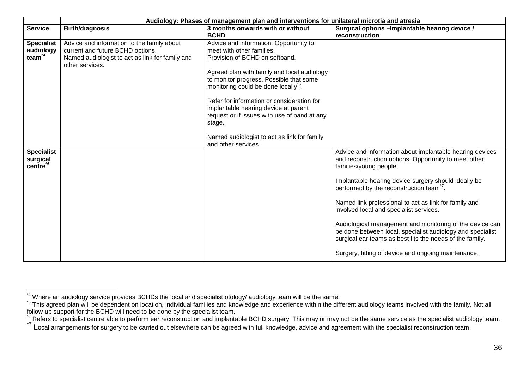|                                                       | Audiology: Phases of management plan and interventions for unilateral microtia and atresia                                                           |                                                                                                                                                                                                                                                                                                                                                                                                                                                                          |                                                                                                                                                                                                                                                                                                                                                                                                                                                                                                                                                                                                             |  |
|-------------------------------------------------------|------------------------------------------------------------------------------------------------------------------------------------------------------|--------------------------------------------------------------------------------------------------------------------------------------------------------------------------------------------------------------------------------------------------------------------------------------------------------------------------------------------------------------------------------------------------------------------------------------------------------------------------|-------------------------------------------------------------------------------------------------------------------------------------------------------------------------------------------------------------------------------------------------------------------------------------------------------------------------------------------------------------------------------------------------------------------------------------------------------------------------------------------------------------------------------------------------------------------------------------------------------------|--|
| <b>Service</b>                                        | <b>Birth/diagnosis</b>                                                                                                                               | 3 months onwards with or without<br><b>BCHD</b>                                                                                                                                                                                                                                                                                                                                                                                                                          | Surgical options - Implantable hearing device /<br>reconstruction                                                                                                                                                                                                                                                                                                                                                                                                                                                                                                                                           |  |
| <b>Specialist</b><br>audiology<br>team <sup>*4</sup>  | Advice and information to the family about<br>current and future BCHD options.<br>Named audiologist to act as link for family and<br>other services. | Advice and information. Opportunity to<br>meet with other families.<br>Provision of BCHD on softband.<br>Agreed plan with family and local audiology<br>to monitor progress. Possible that some<br>monitoring could be done locally <sup>5</sup> .<br>Refer for information or consideration for<br>implantable hearing device at parent<br>request or if issues with use of band at any<br>stage.<br>Named audiologist to act as link for family<br>and other services. |                                                                                                                                                                                                                                                                                                                                                                                                                                                                                                                                                                                                             |  |
| <b>Specialist</b><br>surgical<br>centre <sup>*6</sup> |                                                                                                                                                      |                                                                                                                                                                                                                                                                                                                                                                                                                                                                          | Advice and information about implantable hearing devices<br>and reconstruction options. Opportunity to meet other<br>families/young people.<br>Implantable hearing device surgery should ideally be<br>performed by the reconstruction team <sup>7</sup> .<br>Named link professional to act as link for family and<br>involved local and specialist services.<br>Audiological management and monitoring of the device can<br>be done between local, specialist audiology and specialist<br>surgical ear teams as best fits the needs of the family.<br>Surgery, fitting of device and ongoing maintenance. |  |

<sup>\*4</sup> Where an audiology service provides BCHDs the local and specialist otology/ audiology team will be the same.<br><sup>\*5</sup> This agreed plan will be dependent on location, individual families and knowledge and experience within t Follow-up support for the BCHD will need to be done by the specialist team.<br><sup>To</sup> Refers to specialist centre able to perform ear reconstruction and implantable BCHD surgery. This may or may not be the same service as the s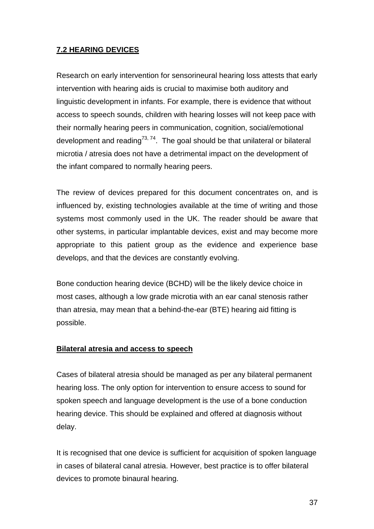# **7.2 HEARING DEVICES**

Research on early intervention for sensorineural hearing loss attests that early intervention with hearing aids is crucial to maximise both auditory and linguistic development in infants. For example, there is evidence that without access to speech sounds, children with hearing losses will not keep pace with their normally hearing peers in communication, cognition, social/emotional development and reading<sup>73, 74</sup>. The goal should be that unilateral or bilateral microtia / atresia does not have a detrimental impact on the development of the infant compared to normally hearing peers.

The review of devices prepared for this document concentrates on, and is influenced by, existing technologies available at the time of writing and those systems most commonly used in the UK. The reader should be aware that other systems, in particular implantable devices, exist and may become more appropriate to this patient group as the evidence and experience base develops, and that the devices are constantly evolving.

Bone conduction hearing device (BCHD) will be the likely device choice in most cases, although a low grade microtia with an ear canal stenosis rather than atresia, may mean that a behind-the-ear (BTE) hearing aid fitting is possible.

### **Bilateral atresia and access to speech**

Cases of bilateral atresia should be managed as per any bilateral permanent hearing loss. The only option for intervention to ensure access to sound for spoken speech and language development is the use of a bone conduction hearing device. This should be explained and offered at diagnosis without delay.

It is recognised that one device is sufficient for acquisition of spoken language in cases of bilateral canal atresia. However, best practice is to offer bilateral devices to promote binaural hearing.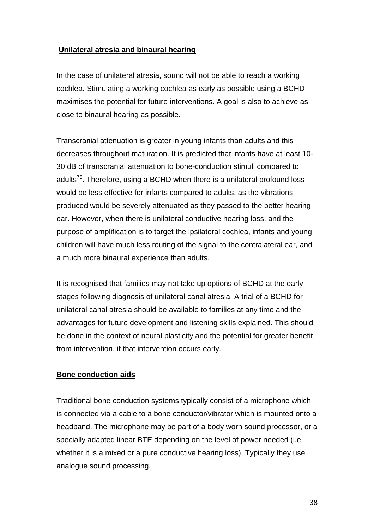### **Unilateral atresia and binaural hearing**

In the case of unilateral atresia, sound will not be able to reach a working cochlea. Stimulating a working cochlea as early as possible using a BCHD maximises the potential for future interventions. A goal is also to achieve as close to binaural hearing as possible.

Transcranial attenuation is greater in young infants than adults and this decreases throughout maturation. It is predicted that infants have at least 10- 30 dB of transcranial attenuation to bone-conduction stimuli compared to adults $75$ . Therefore, using a BCHD when there is a unilateral profound loss would be less effective for infants compared to adults, as the vibrations produced would be severely attenuated as they passed to the better hearing ear. However, when there is unilateral conductive hearing loss, and the purpose of amplification is to target the ipsilateral cochlea, infants and young children will have much less routing of the signal to the contralateral ear, and a much more binaural experience than adults.

It is recognised that families may not take up options of BCHD at the early stages following diagnosis of unilateral canal atresia. A trial of a BCHD for unilateral canal atresia should be available to families at any time and the advantages for future development and listening skills explained. This should be done in the context of neural plasticity and the potential for greater benefit from intervention, if that intervention occurs early.

### **Bone conduction aids**

Traditional bone conduction systems typically consist of a microphone which is connected via a cable to a bone conductor/vibrator which is mounted onto a headband. The microphone may be part of a body worn sound processor, or a specially adapted linear BTE depending on the level of power needed (i.e. whether it is a mixed or a pure conductive hearing loss). Typically they use analogue sound processing.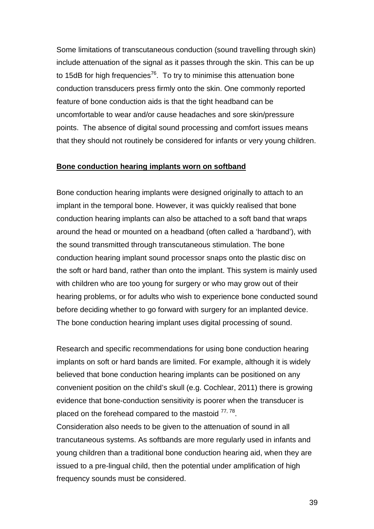Some limitations of transcutaneous conduction (sound travelling through skin) include attenuation of the signal as it passes through the skin. This can be up to 15dB for high frequencies<sup>76</sup>. To try to minimise this attenuation bone conduction transducers press firmly onto the skin. One commonly reported feature of bone conduction aids is that the tight headband can be uncomfortable to wear and/or cause headaches and sore skin/pressure points. The absence of digital sound processing and comfort issues means that they should not routinely be considered for infants or very young children.

#### **Bone conduction hearing implants worn on softband**

Bone conduction hearing implants were designed originally to attach to an implant in the temporal bone. However, it was quickly realised that bone conduction hearing implants can also be attached to a soft band that wraps around the head or mounted on a headband (often called a 'hardband'), with the sound transmitted through transcutaneous stimulation. The bone conduction hearing implant sound processor snaps onto the plastic disc on the soft or hard band, rather than onto the implant. This system is mainly used with children who are too young for surgery or who may grow out of their hearing problems, or for adults who wish to experience bone conducted sound before deciding whether to go forward with surgery for an implanted device. The bone conduction hearing implant uses digital processing of sound.

Research and specific recommendations for using bone conduction hearing implants on soft or hard bands are limited. For example, although it is widely believed that bone conduction hearing implants can be positioned on any convenient position on the child's skull (e.g. Cochlear, 2011) there is growing evidence that bone-conduction sensitivity is poorer when the transducer is placed on the forehead compared to the mastoid  $77,78$ .

Consideration also needs to be given to the attenuation of sound in all trancutaneous systems. As softbands are more regularly used in infants and young children than a traditional bone conduction hearing aid, when they are issued to a pre-lingual child, then the potential under amplification of high frequency sounds must be considered.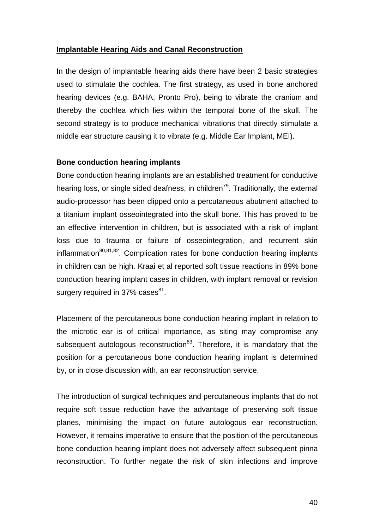### **Implantable Hearing Aids and Canal Reconstruction**

In the design of implantable hearing aids there have been 2 basic strategies used to stimulate the cochlea. The first strategy, as used in bone anchored hearing devices (e.g. BAHA, Pronto Pro), being to vibrate the cranium and thereby the cochlea which lies within the temporal bone of the skull. The second strategy is to produce mechanical vibrations that directly stimulate a middle ear structure causing it to vibrate (e.g. Middle Ear Implant, MEI).

#### **Bone conduction hearing implants**

Bone conduction hearing implants are an established treatment for conductive hearing loss, or single sided deafness, in children<sup>79</sup>. Traditionally, the external audio-processor has been clipped onto a percutaneous abutment attached to a titanium implant osseointegrated into the skull bone. This has proved to be an effective intervention in children, but is associated with a risk of implant loss due to trauma or failure of osseointegration, and recurrent skin inflammation<sup>80,81,82</sup>. Complication rates for bone conduction hearing implants in children can be high. Kraai et al reported soft tissue reactions in 89% bone conduction hearing implant cases in children, with implant removal or revision surgery required in 37% cases<sup>81</sup>.

Placement of the percutaneous bone conduction hearing implant in relation to the microtic ear is of critical importance, as siting may compromise any subsequent autologous reconstruction<sup>83</sup>. Therefore, it is mandatory that the position for a percutaneous bone conduction hearing implant is determined by, or in close discussion with, an ear reconstruction service.

The introduction of surgical techniques and percutaneous implants that do not require soft tissue reduction have the advantage of preserving soft tissue planes, minimising the impact on future autologous ear reconstruction. However, it remains imperative to ensure that the position of the percutaneous bone conduction hearing implant does not adversely affect subsequent pinna reconstruction. To further negate the risk of skin infections and improve

40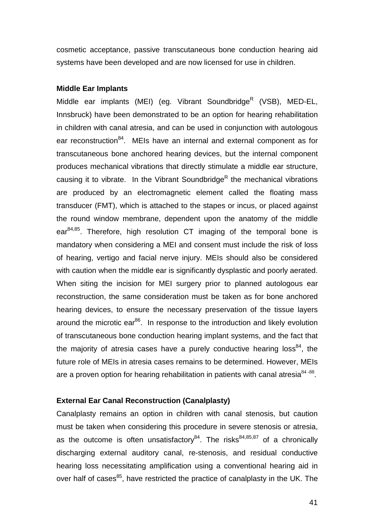cosmetic acceptance, passive transcutaneous bone conduction hearing aid systems have been developed and are now licensed for use in children.

#### **Middle Ear Implants**

Middle ear implants (MEI) (eg. Vibrant Soundbridge<sup>R</sup> (VSB), MED-EL, Innsbruck) have been demonstrated to be an option for hearing rehabilitation in children with canal atresia, and can be used in conjunction with autologous ear reconstruction<sup>84</sup>. MEIs have an internal and external component as for transcutaneous bone anchored hearing devices, but the internal component produces mechanical vibrations that directly stimulate a middle ear structure, causing it to vibrate. In the Vibrant Soundbridge<sup>R</sup> the mechanical vibrations are produced by an electromagnetic element called the floating mass transducer (FMT), which is attached to the stapes or incus, or placed against the round window membrane, dependent upon the anatomy of the middle  $ear<sup>84,85</sup>$ . Therefore, high resolution CT imaging of the temporal bone is mandatory when considering a MEI and consent must include the risk of loss of hearing, vertigo and facial nerve injury. MEIs should also be considered with caution when the middle ear is significantly dysplastic and poorly aerated. When siting the incision for MEI surgery prior to planned autologous ear reconstruction, the same consideration must be taken as for bone anchored hearing devices, to ensure the necessary preservation of the tissue layers around the microtic ear $^{86}$ . In response to the introduction and likely evolution of transcutaneous bone conduction hearing implant systems, and the fact that the majority of atresia cases have a purely conductive hearing loss<sup>84</sup>, the future role of MEIs in atresia cases remains to be determined. However, MEIs are a proven option for hearing rehabilitation in patients with canal atresia $^{84-88}$ .

#### **External Ear Canal Reconstruction (Canalplasty)**

Canalplasty remains an option in children with canal stenosis, but caution must be taken when considering this procedure in severe stenosis or atresia, as the outcome is often unsatisfactory<sup>84</sup>. The risks<sup>84,85,87</sup> of a chronically discharging external auditory canal, re-stenosis, and residual conductive hearing loss necessitating amplification using a conventional hearing aid in over half of cases<sup>85</sup>, have restricted the practice of canalplasty in the UK. The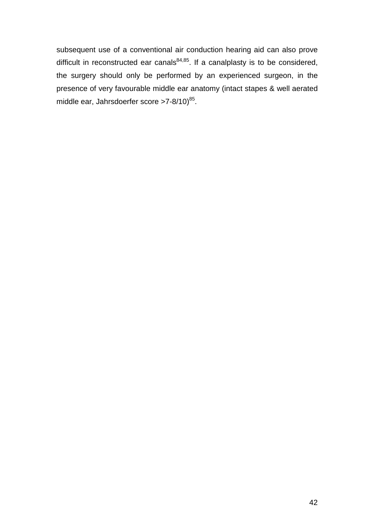subsequent use of a conventional air conduction hearing aid can also prove difficult in reconstructed ear canals $84,85$ . If a canalplasty is to be considered, the surgery should only be performed by an experienced surgeon, in the presence of very favourable middle ear anatomy (intact stapes & well aerated middle ear, Jahrsdoerfer score >7-8/10)<sup>85</sup>.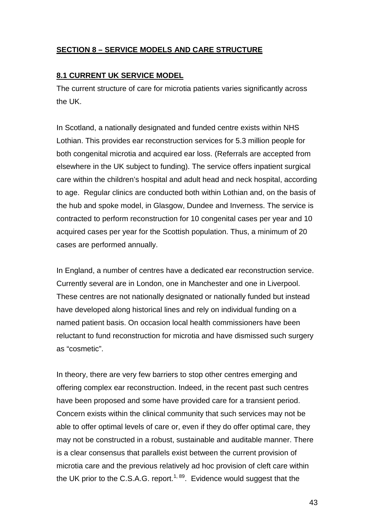# **SECTION 8 – SERVICE MODELS AND CARE STRUCTURE**

### **8.1 CURRENT UK SERVICE MODEL**

The current structure of care for microtia patients varies significantly across the UK.

In Scotland, a nationally designated and funded centre exists within NHS Lothian. This provides ear reconstruction services for 5.3 million people for both congenital microtia and acquired ear loss. (Referrals are accepted from elsewhere in the UK subject to funding). The service offers inpatient surgical care within the children's hospital and adult head and neck hospital, according to age. Regular clinics are conducted both within Lothian and, on the basis of the hub and spoke model, in Glasgow, Dundee and Inverness. The service is contracted to perform reconstruction for 10 congenital cases per year and 10 acquired cases per year for the Scottish population. Thus, a minimum of 20 cases are performed annually.

In England, a number of centres have a dedicated ear reconstruction service. Currently several are in London, one in Manchester and one in Liverpool. These centres are not nationally designated or nationally funded but instead have developed along historical lines and rely on individual funding on a named patient basis. On occasion local health commissioners have been reluctant to fund reconstruction for microtia and have dismissed such surgery as "cosmetic".

In theory, there are very few barriers to stop other centres emerging and offering complex ear reconstruction. Indeed, in the recent past such centres have been proposed and some have provided care for a transient period. Concern exists within the clinical community that such services may not be able to offer optimal levels of care or, even if they do offer optimal care, they may not be constructed in a robust, sustainable and auditable manner. There is a clear consensus that parallels exist between the current provision of microtia care and the previous relatively ad hoc provision of cleft care within the UK prior to the C.S.A.G. report.<sup>1, 89</sup>. Evidence would suggest that the

43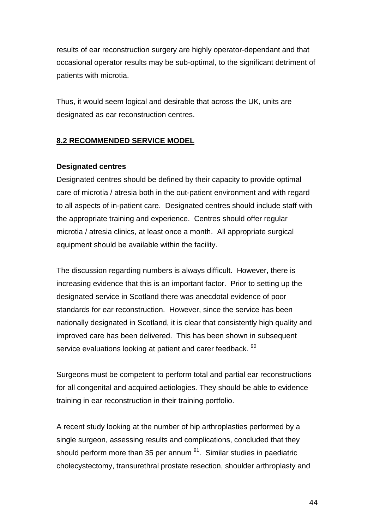results of ear reconstruction surgery are highly operator-dependant and that occasional operator results may be sub-optimal, to the significant detriment of patients with microtia.

Thus, it would seem logical and desirable that across the UK, units are designated as ear reconstruction centres.

### **8.2 RECOMMENDED SERVICE MODEL**

#### **Designated centres**

Designated centres should be defined by their capacity to provide optimal care of microtia / atresia both in the out-patient environment and with regard to all aspects of in-patient care. Designated centres should include staff with the appropriate training and experience. Centres should offer regular microtia / atresia clinics, at least once a month. All appropriate surgical equipment should be available within the facility.

The discussion regarding numbers is always difficult. However, there is increasing evidence that this is an important factor. Prior to setting up the designated service in Scotland there was anecdotal evidence of poor standards for ear reconstruction. However, since the service has been nationally designated in Scotland, it is clear that consistently high quality and improved care has been delivered. This has been shown in subsequent service evaluations looking at patient and carer feedback. <sup>90</sup>

Surgeons must be competent to perform total and partial ear reconstructions for all congenital and acquired aetiologies. They should be able to evidence training in ear reconstruction in their training portfolio.

A recent study looking at the number of hip arthroplasties performed by a single surgeon, assessing results and complications, concluded that they should perform more than 35 per annum  $91$ . Similar studies in paediatric cholecystectomy, transurethral prostate resection, shoulder arthroplasty and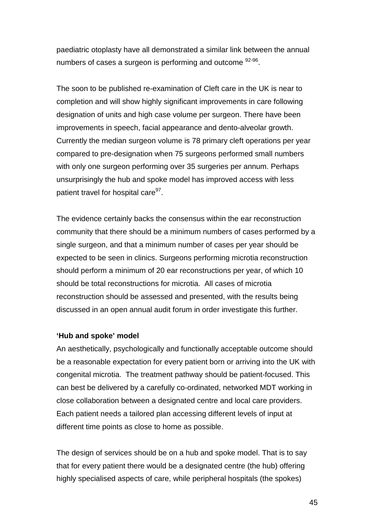paediatric otoplasty have all demonstrated a similar link between the annual numbers of cases a surgeon is performing and outcome  $92-96$ .

The soon to be published re-examination of Cleft care in the UK is near to completion and will show highly significant improvements in care following designation of units and high case volume per surgeon. There have been improvements in speech, facial appearance and dento-alveolar growth. Currently the median surgeon volume is 78 primary cleft operations per year compared to pre-designation when 75 surgeons performed small numbers with only one surgeon performing over 35 surgeries per annum. Perhaps unsurprisingly the hub and spoke model has improved access with less patient travel for hospital care<sup>97</sup>.

The evidence certainly backs the consensus within the ear reconstruction community that there should be a minimum numbers of cases performed by a single surgeon, and that a minimum number of cases per year should be expected to be seen in clinics. Surgeons performing microtia reconstruction should perform a minimum of 20 ear reconstructions per year, of which 10 should be total reconstructions for microtia. All cases of microtia reconstruction should be assessed and presented, with the results being discussed in an open annual audit forum in order investigate this further.

#### **'Hub and spoke' model**

An aesthetically, psychologically and functionally acceptable outcome should be a reasonable expectation for every patient born or arriving into the UK with congenital microtia. The treatment pathway should be patient-focused. This can best be delivered by a carefully co-ordinated, networked MDT working in close collaboration between a designated centre and local care providers. Each patient needs a tailored plan accessing different levels of input at different time points as close to home as possible.

The design of services should be on a hub and spoke model. That is to say that for every patient there would be a designated centre (the hub) offering highly specialised aspects of care, while peripheral hospitals (the spokes)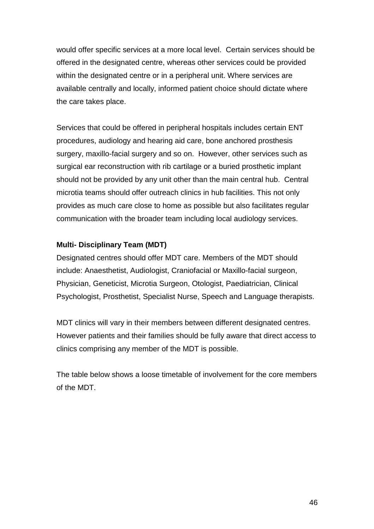would offer specific services at a more local level. Certain services should be offered in the designated centre, whereas other services could be provided within the designated centre or in a peripheral unit. Where services are available centrally and locally, informed patient choice should dictate where the care takes place.

Services that could be offered in peripheral hospitals includes certain ENT procedures, audiology and hearing aid care, bone anchored prosthesis surgery, maxillo-facial surgery and so on. However, other services such as surgical ear reconstruction with rib cartilage or a buried prosthetic implant should not be provided by any unit other than the main central hub. Central microtia teams should offer outreach clinics in hub facilities. This not only provides as much care close to home as possible but also facilitates regular communication with the broader team including local audiology services.

# **Multi- Disciplinary Team (MDT)**

Designated centres should offer MDT care. Members of the MDT should include: Anaesthetist, Audiologist, Craniofacial or Maxillo-facial surgeon, Physician, Geneticist, Microtia Surgeon, Otologist, Paediatrician, Clinical Psychologist, Prosthetist, Specialist Nurse, Speech and Language therapists.

MDT clinics will vary in their members between different designated centres. However patients and their families should be fully aware that direct access to clinics comprising any member of the MDT is possible.

The table below shows a loose timetable of involvement for the core members of the MDT.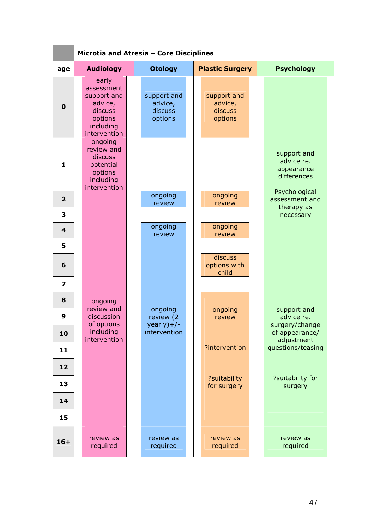|                         | Microtia and Atresia - Core Disciplines                                                          |                                              |                                              |                                                                         |  |  |  |  |
|-------------------------|--------------------------------------------------------------------------------------------------|----------------------------------------------|----------------------------------------------|-------------------------------------------------------------------------|--|--|--|--|
| age                     | <b>Audiology</b>                                                                                 | <b>Otology</b>                               | <b>Plastic Surgery</b>                       | <b>Psychology</b>                                                       |  |  |  |  |
| $\mathbf 0$             | early<br>assessment<br>support and<br>advice,<br>discuss<br>options<br>including<br>intervention | support and<br>advice,<br>discuss<br>options | support and<br>advice,<br>discuss<br>options |                                                                         |  |  |  |  |
| $\mathbf{1}$            | ongoing<br>review and<br>discuss<br>potential<br>options<br>including<br>intervention            |                                              |                                              | support and<br>advice re.<br>appearance<br>differences<br>Psychological |  |  |  |  |
| $\overline{\mathbf{2}}$ |                                                                                                  | ongoing<br>review                            | ongoing<br>review                            | assessment and<br>therapy as                                            |  |  |  |  |
| 3                       |                                                                                                  |                                              |                                              | necessary                                                               |  |  |  |  |
| 4                       |                                                                                                  | ongoing<br>review                            | ongoing<br>review                            |                                                                         |  |  |  |  |
| 5                       |                                                                                                  |                                              |                                              |                                                                         |  |  |  |  |
| 6                       |                                                                                                  |                                              | discuss<br>options with<br>child             |                                                                         |  |  |  |  |
| 7                       |                                                                                                  |                                              |                                              |                                                                         |  |  |  |  |
| 8                       | ongoing<br>review and                                                                            | ongoing                                      | ongoing                                      | support and                                                             |  |  |  |  |
| 9                       | discussion<br>of options                                                                         | review (2<br>$yearly) + / -$                 | review                                       | advice re.<br>surgery/change                                            |  |  |  |  |
| 10                      | including<br>intervention                                                                        | intervention                                 |                                              | of appearance/<br>adjustment                                            |  |  |  |  |
| 11                      |                                                                                                  |                                              | ?intervention                                | questions/teasing                                                       |  |  |  |  |
| 12                      |                                                                                                  |                                              |                                              |                                                                         |  |  |  |  |
| 13                      |                                                                                                  |                                              | ?suitability<br>for surgery                  | ?suitability for<br>surgery                                             |  |  |  |  |
| 14                      |                                                                                                  |                                              |                                              |                                                                         |  |  |  |  |
| 15                      |                                                                                                  |                                              |                                              |                                                                         |  |  |  |  |
| $16+$                   | review as<br>required                                                                            | review as<br>required                        | review as<br>required                        | review as<br>required                                                   |  |  |  |  |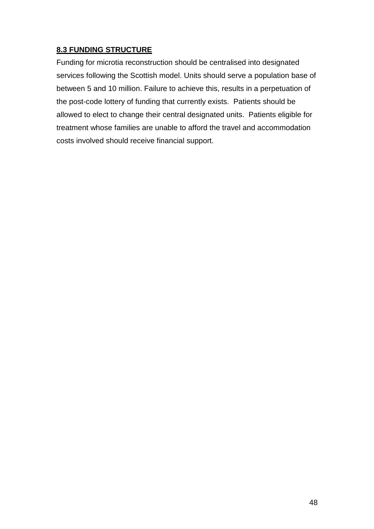# **8.3 FUNDING STRUCTURE**

Funding for microtia reconstruction should be centralised into designated services following the Scottish model. Units should serve a population base of between 5 and 10 million. Failure to achieve this, results in a perpetuation of the post-code lottery of funding that currently exists. Patients should be allowed to elect to change their central designated units. Patients eligible for treatment whose families are unable to afford the travel and accommodation costs involved should receive financial support.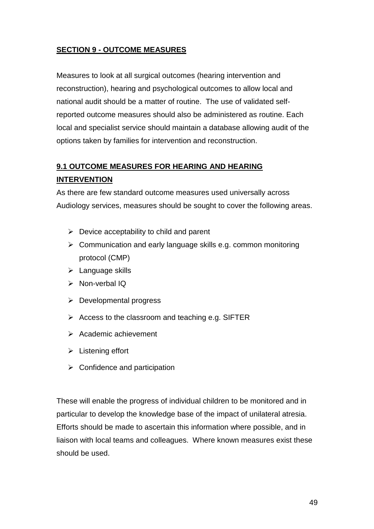# **SECTION 9 - OUTCOME MEASURES**

Measures to look at all surgical outcomes (hearing intervention and reconstruction), hearing and psychological outcomes to allow local and national audit should be a matter of routine. The use of validated selfreported outcome measures should also be administered as routine. Each local and specialist service should maintain a database allowing audit of the options taken by families for intervention and reconstruction.

# **9.1 OUTCOME MEASURES FOR HEARING AND HEARING INTERVENTION**

As there are few standard outcome measures used universally across Audiology services, measures should be sought to cover the following areas.

- ▶ Device acceptability to child and parent
- > Communication and early language skills e.g. common monitoring protocol (CMP)
- > Language skills
- > Non-verbal IQ
- > Developmental progress
- > Access to the classroom and teaching e.g. SIFTER
- > Academic achievement
- $\triangleright$  Listening effort
- > Confidence and participation

These will enable the progress of individual children to be monitored and in particular to develop the knowledge base of the impact of unilateral atresia. Efforts should be made to ascertain this information where possible, and in liaison with local teams and colleagues. Where known measures exist these should be used.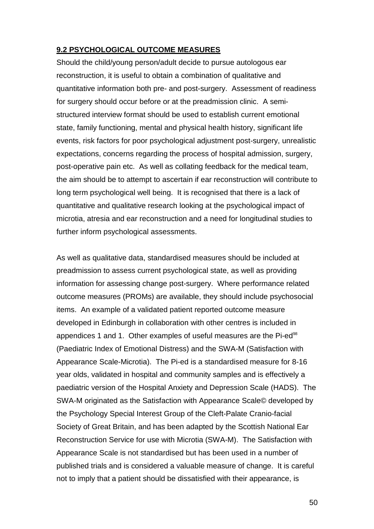#### **9.2 PSYCHOLOGICAL OUTCOME MEASURES**

Should the child/young person/adult decide to pursue autologous ear reconstruction, it is useful to obtain a combination of qualitative and quantitative information both pre- and post-surgery. Assessment of readiness for surgery should occur before or at the preadmission clinic. A semistructured interview format should be used to establish current emotional state, family functioning, mental and physical health history, significant life events, risk factors for poor psychological adjustment post-surgery, unrealistic expectations, concerns regarding the process of hospital admission, surgery, post-operative pain etc. As well as collating feedback for the medical team, the aim should be to attempt to ascertain if ear reconstruction will contribute to long term psychological well being. It is recognised that there is a lack of quantitative and qualitative research looking at the psychological impact of microtia, atresia and ear reconstruction and a need for longitudinal studies to further inform psychological assessments.

As well as qualitative data, standardised measures should be included at preadmission to assess current psychological state, as well as providing information for assessing change post-surgery. Where performance related outcome measures (PROMs) are available, they should include psychosocial items. An example of a validated patient reported outcome measure developed in Edinburgh in collaboration with other centres is included in appendices 1 and 1. Other examples of useful measures are the Pi-ed<sup>98</sup> (Paediatric Index of Emotional Distress) and the SWA-M (Satisfaction with Appearance Scale-Microtia). The Pi-ed is a standardised measure for 8-16 year olds, validated in hospital and community samples and is effectively a paediatric version of the Hospital Anxiety and Depression Scale (HADS). The SWA-M originated as the Satisfaction with Appearance Scale© developed by the Psychology Special Interest Group of the Cleft-Palate Cranio-facial Society of Great Britain, and has been adapted by the Scottish National Ear Reconstruction Service for use with Microtia (SWA-M). The Satisfaction with Appearance Scale is not standardised but has been used in a number of published trials and is considered a valuable measure of change. It is careful not to imply that a patient should be dissatisfied with their appearance, is

50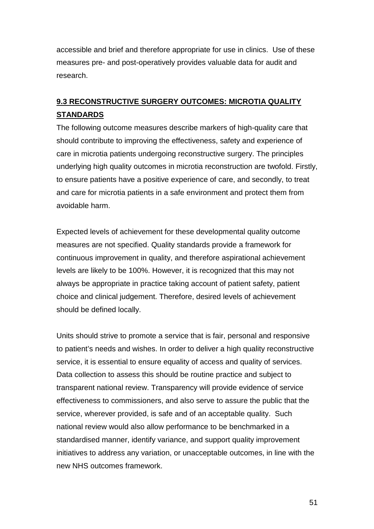accessible and brief and therefore appropriate for use in clinics. Use of these measures pre- and post-operatively provides valuable data for audit and research.

# **9.3 RECONSTRUCTIVE SURGERY OUTCOMES: MICROTIA QUALITY STANDARDS**

The following outcome measures describe markers of high-quality care that should contribute to improving the effectiveness, safety and experience of care in microtia patients undergoing reconstructive surgery. The principles underlying high quality outcomes in microtia reconstruction are twofold. Firstly, to ensure patients have a positive experience of care, and secondly, to treat and care for microtia patients in a safe environment and protect them from avoidable harm.

Expected levels of achievement for these developmental quality outcome measures are not specified. Quality standards provide a framework for continuous improvement in quality, and therefore aspirational achievement levels are likely to be 100%. However, it is recognized that this may not always be appropriate in practice taking account of patient safety, patient choice and clinical judgement. Therefore, desired levels of achievement should be defined locally.

Units should strive to promote a service that is fair, personal and responsive to patient's needs and wishes. In order to deliver a high quality reconstructive service, it is essential to ensure equality of access and quality of services. Data collection to assess this should be routine practice and subject to transparent national review. Transparency will provide evidence of service effectiveness to commissioners, and also serve to assure the public that the service, wherever provided, is safe and of an acceptable quality. Such national review would also allow performance to be benchmarked in a standardised manner, identify variance, and support quality improvement initiatives to address any variation, or unacceptable outcomes, in line with the new NHS outcomes framework.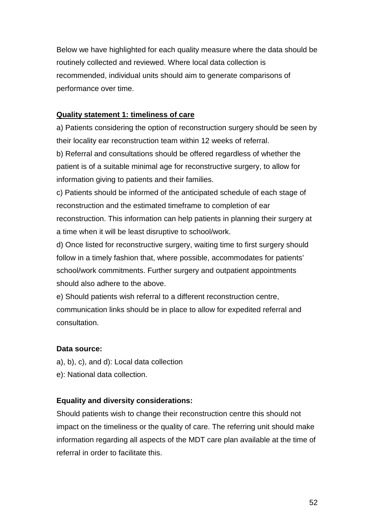Below we have highlighted for each quality measure where the data should be routinely collected and reviewed. Where local data collection is recommended, individual units should aim to generate comparisons of performance over time.

### **Quality statement 1: timeliness of care**

a) Patients considering the option of reconstruction surgery should be seen by their locality ear reconstruction team within 12 weeks of referral.

b) Referral and consultations should be offered regardless of whether the patient is of a suitable minimal age for reconstructive surgery, to allow for information giving to patients and their families.

c) Patients should be informed of the anticipated schedule of each stage of reconstruction and the estimated timeframe to completion of ear reconstruction. This information can help patients in planning their surgery at a time when it will be least disruptive to school/work.

d) Once listed for reconstructive surgery, waiting time to first surgery should follow in a timely fashion that, where possible, accommodates for patients' school/work commitments. Further surgery and outpatient appointments should also adhere to the above.

e) Should patients wish referral to a different reconstruction centre, communication links should be in place to allow for expedited referral and consultation.

### **Data source:**

- a), b), c), and d): Local data collection
- e): National data collection.

# **Equality and diversity considerations:**

Should patients wish to change their reconstruction centre this should not impact on the timeliness or the quality of care. The referring unit should make information regarding all aspects of the MDT care plan available at the time of referral in order to facilitate this.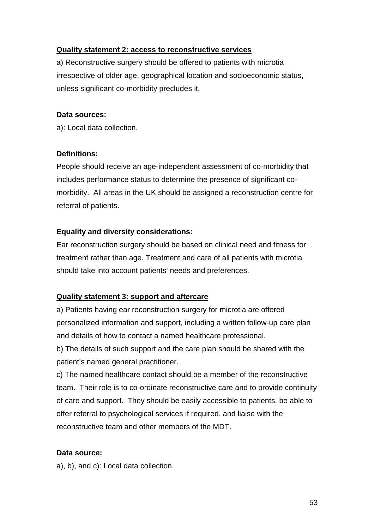### **Quality statement 2: access to reconstructive services**

a) Reconstructive surgery should be offered to patients with microtia irrespective of older age, geographical location and socioeconomic status, unless significant co-morbidity precludes it.

#### **Data sources:**

a): Local data collection.

#### **Definitions:**

People should receive an age-independent assessment of co-morbidity that includes performance status to determine the presence of significant comorbidity. All areas in the UK should be assigned a reconstruction centre for referral of patients.

### **Equality and diversity considerations:**

Ear reconstruction surgery should be based on clinical need and fitness for treatment rather than age. Treatment and care of all patients with microtia should take into account patients' needs and preferences.

### **Quality statement 3: support and aftercare**

a) Patients having ear reconstruction surgery for microtia are offered personalized information and support, including a written follow-up care plan and details of how to contact a named healthcare professional.

b) The details of such support and the care plan should be shared with the patient's named general practitioner.

c) The named healthcare contact should be a member of the reconstructive team. Their role is to co-ordinate reconstructive care and to provide continuity of care and support. They should be easily accessible to patients, be able to offer referral to psychological services if required, and liaise with the reconstructive team and other members of the MDT.

### **Data source:**

a), b), and c): Local data collection.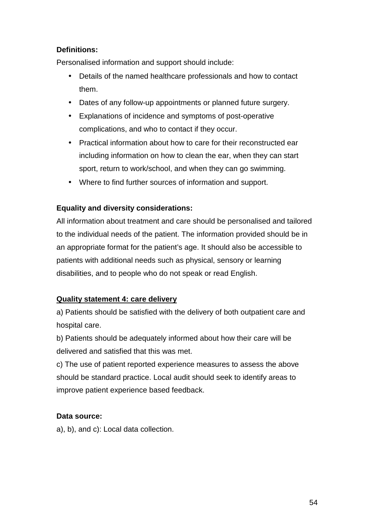# **Definitions:**

Personalised information and support should include:

- Details of the named healthcare professionals and how to contact them.
- Dates of any follow-up appointments or planned future surgery.
- Explanations of incidence and symptoms of post-operative complications, and who to contact if they occur.
- Practical information about how to care for their reconstructed ear including information on how to clean the ear, when they can start sport, return to work/school, and when they can go swimming.
- Where to find further sources of information and support.

# **Equality and diversity considerations:**

All information about treatment and care should be personalised and tailored to the individual needs of the patient. The information provided should be in an appropriate format for the patient's age. It should also be accessible to patients with additional needs such as physical, sensory or learning disabilities, and to people who do not speak or read English.

### **Quality statement 4: care delivery**

a) Patients should be satisfied with the delivery of both outpatient care and hospital care.

b) Patients should be adequately informed about how their care will be delivered and satisfied that this was met.

c) The use of patient reported experience measures to assess the above should be standard practice. Local audit should seek to identify areas to improve patient experience based feedback.

### **Data source:**

a), b), and c): Local data collection.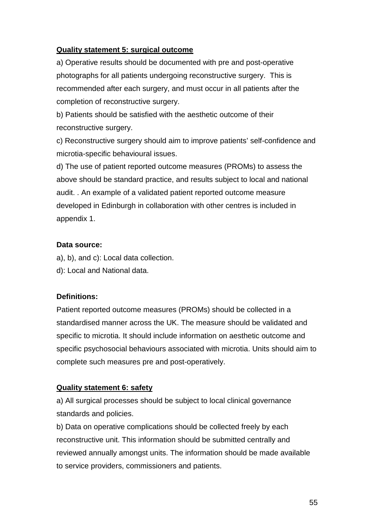### **Quality statement 5: surgical outcome**

a) Operative results should be documented with pre and post-operative photographs for all patients undergoing reconstructive surgery. This is recommended after each surgery, and must occur in all patients after the completion of reconstructive surgery.

b) Patients should be satisfied with the aesthetic outcome of their reconstructive surgery.

c) Reconstructive surgery should aim to improve patients' self-confidence and microtia-specific behavioural issues.

d) The use of patient reported outcome measures (PROMs) to assess the above should be standard practice, and results subject to local and national audit. . An example of a validated patient reported outcome measure developed in Edinburgh in collaboration with other centres is included in appendix 1.

# **Data source:**

a), b), and c): Local data collection.

d): Local and National data.

# **Definitions:**

Patient reported outcome measures (PROMs) should be collected in a standardised manner across the UK. The measure should be validated and specific to microtia. It should include information on aesthetic outcome and specific psychosocial behaviours associated with microtia. Units should aim to complete such measures pre and post-operatively.

# **Quality statement 6: safety**

a) All surgical processes should be subject to local clinical governance standards and policies.

b) Data on operative complications should be collected freely by each reconstructive unit. This information should be submitted centrally and reviewed annually amongst units. The information should be made available to service providers, commissioners and patients.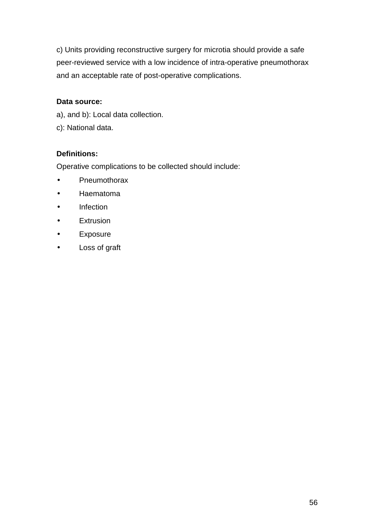c) Units providing reconstructive surgery for microtia should provide a safe peer-reviewed service with a low incidence of intra-operative pneumothorax and an acceptable rate of post-operative complications.

### **Data source:**

- a), and b): Local data collection.
- c): National data.

### **Definitions:**

Operative complications to be collected should include:

- Pneumothorax
- Haematoma
- Infection
- Extrusion
- Exposure
- Loss of graft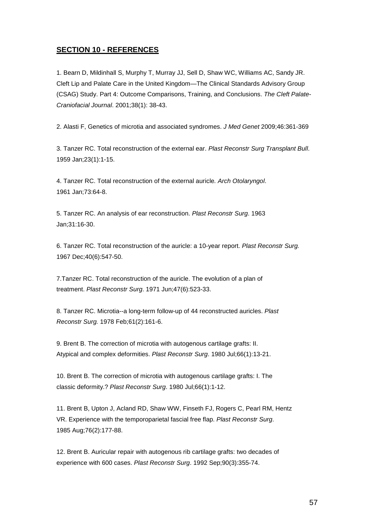### **SECTION 10 - REFERENCES**

1. Bearn D, Mildinhall S, Murphy T, Murray JJ, Sell D, Shaw WC, Williams AC, Sandy JR. Cleft Lip and Palate Care in the United Kingdom—The Clinical Standards Advisory Group (CSAG) Study. Part 4: Outcome Comparisons, Training, and Conclusions. The Cleft Palate-Craniofacial Journal. 2001;38(1): 38-43.

2. Alasti F, Genetics of microtia and associated syndromes. J Med Genet 2009;46:361-369

3. Tanzer RC. Total reconstruction of the external ear. Plast Reconstr Surg Transplant Bull. 1959 Jan;23(1):1-15.

4. Tanzer RC. Total reconstruction of the external auricle. Arch Otolaryngol. 1961 Jan;73:64-8.

5. Tanzer RC. An analysis of ear reconstruction. Plast Reconstr Surg. 1963 Jan;31:16-30.

6. Tanzer RC. Total reconstruction of the auricle: a 10-year report. Plast Reconstr Surg. 1967 Dec;40(6):547-50.

7.Tanzer RC. Total reconstruction of the auricle. The evolution of a plan of treatment. Plast Reconstr Surg. 1971 Jun;47(6):523-33.

8. Tanzer RC. Microtia--a long-term follow-up of 44 reconstructed auricles. Plast Reconstr Surg. 1978 Feb;61(2):161-6.

9. Brent B. The correction of microtia with autogenous cartilage grafts: II. Atypical and complex deformities. Plast Reconstr Surg. 1980 Jul;66(1):13-21.

10. Brent B. The correction of microtia with autogenous cartilage grafts: I. The classic deformity.? Plast Reconstr Surg. 1980 Jul;66(1):1-12.

11. Brent B, Upton J, Acland RD, Shaw WW, Finseth FJ, Rogers C, Pearl RM, Hentz VR. Experience with the temporoparietal fascial free flap. Plast Reconstr Surg. 1985 Aug;76(2):177-88.

12. Brent B. Auricular repair with autogenous rib cartilage grafts: two decades of experience with 600 cases. Plast Reconstr Surg. 1992 Sep;90(3):355-74.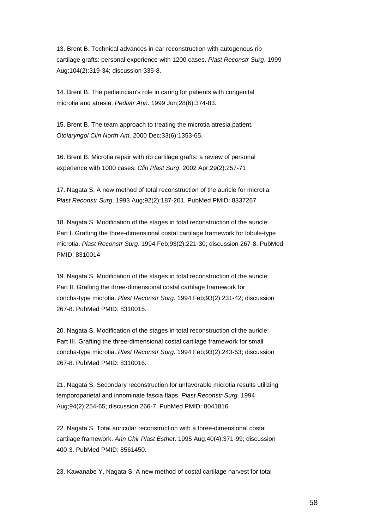13. Brent B. Technical advances in ear reconstruction with autogenous rib cartilage grafts: personal experience with 1200 cases. Plast Reconstr Surg. 1999 Aug;104(2):319-34; discussion 335-8.

14. Brent B. The pediatrician's role in caring for patients with congenital microtia and atresia. Pediatr Ann. 1999 Jun;28(6):374-83.

15. Brent B. The team approach to treating the microtia atresia patient. Otolaryngol Clin North Am. 2000 Dec;33(6):1353-65.

16. Brent B. Microtia repair with rib cartilage grafts: a review of personal experience with 1000 cases. Clin Plast Surg. 2002 Apr;29(2):257-71

17. Nagata S. A new method of total reconstruction of the auricle for microtia. Plast Reconstr Surg. 1993 Aug;92(2):187-201. PubMed PMID: 8337267

18. Nagata S. Modification of the stages in total reconstruction of the auricle: Part I. Grafting the three-dimensional costal cartilage framework for lobule-type microtia. Plast Reconstr Surg. 1994 Feb;93(2):221-30; discussion 267-8. PubMed PMID: 8310014

19. Nagata S. Modification of the stages in total reconstruction of the auricle: Part II. Grafting the three-dimensional costal cartilage framework for concha-type microtia. Plast Reconstr Surg. 1994 Feb;93(2):231-42; discussion 267-8. PubMed PMID: 8310015.

20. Nagata S. Modification of the stages in total reconstruction of the auricle: Part III. Grafting the three-dimensional costal cartilage framework for small concha-type microtia. Plast Reconstr Surg. 1994 Feb;93(2):243-53; discussion 267-8. PubMed PMID: 8310016.

21. Nagata S. Secondary reconstruction for unfavorable microtia results utilizing temporoparietal and innominate fascia flaps. Plast Reconstr Surg. 1994 Aug;94(2):254-65; discussion 266-7. PubMed PMID: 8041816.

22. Nagata S. Total auricular reconstruction with a three-dimensional costal cartilage framework. Ann Chir Plast Esthet. 1995 Aug;40(4):371-99; discussion 400-3. PubMed PMID: 8561450.

23. Kawanabe Y, Nagata S. A new method of costal cartilage harvest for total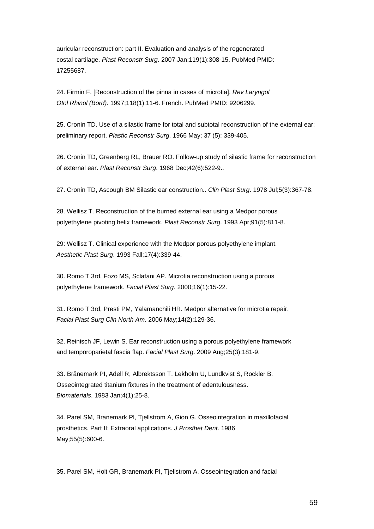auricular reconstruction: part II. Evaluation and analysis of the regenerated costal cartilage. Plast Reconstr Surg. 2007 Jan;119(1):308-15. PubMed PMID: 17255687.

24. Firmin F. [Reconstruction of the pinna in cases of microtia]. Rev Laryngol Otol Rhinol (Bord). 1997;118(1):11-6. French. PubMed PMID: 9206299.

25. Cronin TD. Use of a silastic frame for total and subtotal reconstruction of the external ear: preliminary report. Plastic Reconstr Surg. 1966 May; 37 (5): 339-405.

26. Cronin TD, Greenberg RL, Brauer RO. Follow-up study of silastic frame for reconstruction of external ear. Plast Reconstr Surg. 1968 Dec;42(6):522-9..

27. Cronin TD, Ascough BM Silastic ear construction.. Clin Plast Surg. 1978 Jul;5(3):367-78.

28. Wellisz T. Reconstruction of the burned external ear using a Medpor porous polyethylene pivoting helix framework. Plast Reconstr Surg. 1993 Apr;91(5):811-8.

29: Wellisz T. Clinical experience with the Medpor porous polyethylene implant. Aesthetic Plast Surg. 1993 Fall;17(4):339-44.

30. Romo T 3rd, Fozo MS, Sclafani AP. Microtia reconstruction using a porous polyethylene framework. Facial Plast Surg. 2000;16(1):15-22.

31. Romo T 3rd, Presti PM, Yalamanchili HR. Medpor alternative for microtia repair. Facial Plast Surg Clin North Am. 2006 May;14(2):129-36.

32. Reinisch JF, Lewin S. Ear reconstruction using a porous polyethylene framework and temporoparietal fascia flap. Facial Plast Surg. 2009 Aug;25(3):181-9.

33. Brånemark PI, Adell R, Albrektsson T, Lekholm U, Lundkvist S, Rockler B. Osseointegrated titanium fixtures in the treatment of edentulousness. Biomaterials. 1983 Jan;4(1):25-8.

34. Parel SM, Branemark PI, Tjellstrom A, Gion G. Osseointegration in maxillofacial prosthetics. Part II: Extraoral applications. J Prosthet Dent. 1986 May;55(5):600-6.

35. Parel SM, Holt GR, Branemark PI, Tjellstrom A. Osseointegration and facial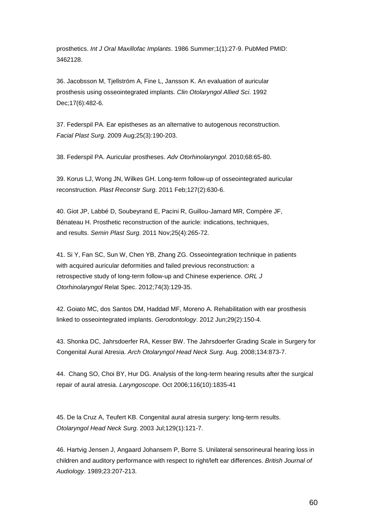prosthetics. Int J Oral Maxillofac Implants. 1986 Summer;1(1):27-9. PubMed PMID: 3462128.

36. Jacobsson M, Tjellström A, Fine L, Jansson K. An evaluation of auricular prosthesis using osseointegrated implants. Clin Otolaryngol Allied Sci. 1992 Dec;17(6):482-6.

37. Federspil PA. Ear epistheses as an alternative to autogenous reconstruction. Facial Plast Surg. 2009 Aug;25(3):190-203.

38. Federspil PA. Auricular prostheses. Adv Otorhinolaryngol. 2010;68:65-80.

39. Korus LJ, Wong JN, Wilkes GH. Long-term follow-up of osseointegrated auricular reconstruction. Plast Reconstr Surg. 2011 Feb;127(2):630-6.

40. Giot JP, Labbé D, Soubeyrand E, Pacini R, Guillou-Jamard MR, Compère JF, Bénateau H. Prosthetic reconstruction of the auricle: indications, techniques, and results. Semin Plast Surg. 2011 Nov;25(4):265-72.

41. Si Y, Fan SC, Sun W, Chen YB, Zhang ZG. Osseointegration technique in patients with acquired auricular deformities and failed previous reconstruction: a retrospective study of long-term follow-up and Chinese experience. ORL J Otorhinolaryngol Relat Spec. 2012;74(3):129-35.

42. Goiato MC, dos Santos DM, Haddad MF, Moreno A. Rehabilitation with ear prosthesis linked to osseointegrated implants. Gerodontology. 2012 Jun;29(2):150-4.

43. Shonka DC, Jahrsdoerfer RA, Kesser BW. The Jahrsdoerfer Grading Scale in Surgery for Congenital Aural Atresia. Arch Otolaryngol Head Neck Surg. Aug. 2008;134:873-7.

44. Chang SO, Choi BY, Hur DG. Analysis of the long-term hearing results after the surgical repair of aural atresia. Laryngoscope. Oct 2006;116(10):1835-41

45. De la Cruz A, Teufert KB. Congenital aural atresia surgery: long-term results. Otolaryngol Head Neck Surg. 2003 Jul;129(1):121-7.

46. Hartvig Jensen J, Angaard Johansem P, Borre S. Unilateral sensorineural hearing loss in children and auditory performance with respect to right/left ear differences. British Journal of Audiology. 1989;23:207-213.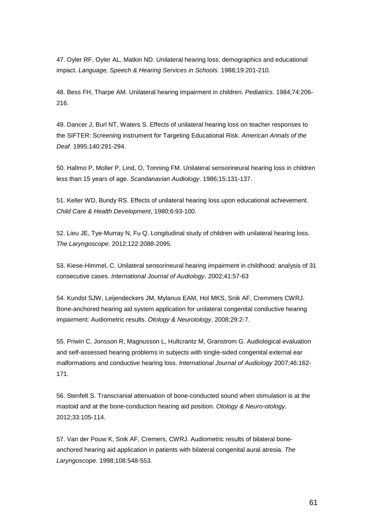47. Oyler RF, Oyler AL, Matkin ND. Unilateral hearing loss: demographics and educational impact. Language, Speech & Hearing Services in Schools. 1988;19:201-210.

48. Bess FH, Tharpe AM. Unilateral hearing impairment in children. Pediatrics. 1984;74:206- 216.

49. Dancer J, Burl NT, Waters S. Effects of unilateral hearing loss on teacher responses to the SIFTER: Screening instrument for Targeting Educational Risk. American Annals of the Deaf. 1995;140:291-294.

50. Hallmo P, Moller P, Lind, O, Tonning FM. Unilateral sensorineural hearing loss in children less than 15 years of age. Scandanavian Audiology. 1986;15:131-137.

51. Keller WD, Bundy RS. Effects of unilateral hearing loss upon educational achievement. Child Care & Health Development, 1980;6:93-100.

52. Lieu JE, Tye-Murray N, Fu Q. Longitudinal study of children with unilateral hearing loss. The Laryngoscope. 2012;122:2088-2095.

53. Kiese-Himmel, C. Unilateral sensorineural hearing impairment in childhood: analysis of 31 consecutive cases. International Journal of Audiology. 2002;41:57-63

54. Kundst SJW, Leijendeckers JM, Mylanus EAM, Hol MKS, Snik AF, Cremmers CWRJ. Bone-anchored hearing aid system application for unilateral congenital conductive hearing impairment: Audiometric results. Otology & Neurotology. 2008;29:2-7.

55. Priwin C, Jonsson R, Magnusson L, Hultcrantz M, Granstrom G. Audiological evaluation and self-assessed hearing problems in subjects with single-sided congenital external ear malformations and conductive hearing loss. International Journal of Audiology 2007;46:162- 171.

56. Stenfelt S. Transcranial attenuation of bone-conducted sound when stimulation is at the mastoid and at the bone-conduction hearing aid position. Otology & Neuro-otology. 2012;33:105-114.

57. Van der Pouw K, Snik AF, Cremers, CWRJ. Audiometric results of bilateral boneanchored hearing aid application in patients with bilateral congenital aural atresia. The Laryngoscope. 1998;108:548-553.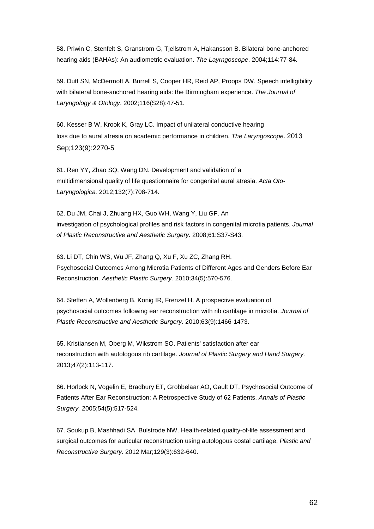58. Priwin C, Stenfelt S, Granstrom G, Tjellstrom A, Hakansson B. Bilateral bone-anchored hearing aids (BAHAs): An audiometric evaluation. The Layrngoscope. 2004;114:77-84.

59. Dutt SN, McDermott A, Burrell S, Cooper HR, Reid AP, Proops DW. Speech intelligibility with bilateral bone-anchored hearing aids: the Birmingham experience. The Journal of Laryngology & Otology. 2002;116(S28):47-51.

60. Kesser B W, Krook K, Gray LC. Impact of unilateral conductive hearing loss due to aural atresia on academic performance in children. The Laryngoscope. 2013 Sep;123(9):2270-5

61. Ren YY, Zhao SQ, Wang DN. Development and validation of a multidimensional quality of life questionnaire for congenital aural atresia. Acta Oto-Laryngologica. 2012;132(7):708-714.

62. Du JM, Chai J, Zhuang HX, Guo WH, Wang Y, Liu GF. An investigation of psychological profiles and risk factors in congenital microtia patients. Journal of Plastic Reconstructive and Aesthetic Surgery. 2008;61:S37-S43.

63. Li DT, Chin WS, Wu JF, Zhang Q, Xu F, Xu ZC, Zhang RH. Psychosocial Outcomes Among Microtia Patients of Different Ages and Genders Before Ear Reconstruction. Aesthetic Plastic Surgery. 2010;34(5):570-576.

64. Steffen A, Wollenberg B, Konig IR, Frenzel H. A prospective evaluation of psychosocial outcomes following ear reconstruction with rib cartilage in microtia. Journal of Plastic Reconstructive and Aesthetic Surgery. 2010;63(9):1466-1473.

65. Kristiansen M, Oberg M, Wikstrom SO. Patients' satisfaction after ear reconstruction with autologous rib cartilage. Journal of Plastic Surgery and Hand Surgery. 2013;47(2):113-117.

66. Horlock N, Vogelin E, Bradbury ET, Grobbelaar AO, Gault DT. Psychosocial Outcome of Patients After Ear Reconstruction: A Retrospective Study of 62 Patients. Annals of Plastic Surgery. 2005;54(5):517-524.

67. Soukup B, Mashhadi SA, Bulstrode NW. Health-related quality-of-life assessment and surgical outcomes for auricular reconstruction using autologous costal cartilage. Plastic and Reconstructive Surgery. 2012 Mar;129(3):632-640.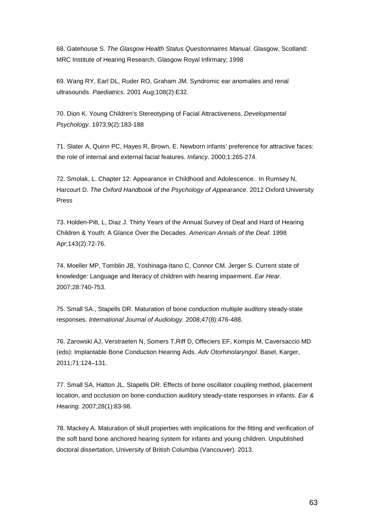68. Gatehouse S. The Glasgow Health Status Questionnaires Manual. Glasgow, Scotland: MRC Institute of Hearing Research, Glasgow Royal Infirmary; 1998

69. Wang RY, Earl DL, Ruder RO, Graham JM. Syndromic ear anomalies and renal ultrasounds. Paediatrics. 2001 Aug;108(2):E32.

70. Dion K. Young Children's Stereotyping of Facial Attractiveness. Developmental Psychology. 1973;9(2):183-188

71. Slater A, Quinn PC, Hayes R, Brown, E. Newborn infants' preference for attractive faces: the role of internal and external facial features. Infancy. 2000;1:265-274.

72. Smolak, L. Chapter 12: Appearance in Childhood and Adolescence. In Rumsey N, Harcourt D. The Oxford Handbook of the Psychology of Appearance. 2012 Oxford University Press

73. Holden-Pitt, L, Diaz J. Thirty Years of the Annual Survey of Deaf and Hard of Hearing Children & Youth: A Glance Over the Decades. American Annals of the Deaf. 1998 Apr;143(2):72-76.

74. Moeller MP, Tomblin JB, Yoshinaga-Itano C, Connor CM. Jerger S. Current state of knowledge: Language and literacy of children with hearing impairment. Ear Hear. 2007;28:740-753.

75. Small SA., Stapells DR. Maturation of bone conduction multiple auditory steady-state responses. International Journal of Audiology. 2008;47(8):476-488.

76. Zarowski AJ, Verstraeten N, Somers T,Riff D, Offeciers EF, Kompis M, Caversaccio MD (eds): Implantable Bone Conduction Hearing Aids. Adv Otorhinolaryngol. Basel, Karger, 2011;71:124–131.

77. Small SA, Hatton JL, Stapells DR. Effects of bone oscillator coupling method, placement location, and occlusion on bone-conduction auditory steady-state responses in infants. Ear & Hearing. 2007;28(1):83-98.

78. Mackey A. Maturation of skull properties with implications for the fitting and verification of the soft band bone anchored hearing system for infants and young children. Unpublished doctoral dissertation, University of British Columbia (Vancouver). 2013.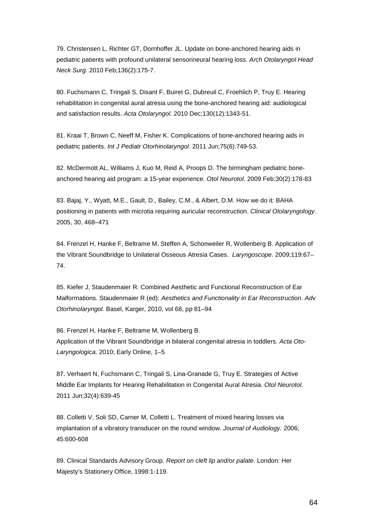79. Christensen L, Richter GT, Dornhoffer JL. Update on bone-anchored hearing aids in pediatric patients with profound unilateral sensorineural hearing loss. Arch Otolaryngol Head Neck Surg. 2010 Feb;136(2):175-7.

80. Fuchsmann C, Tringali S, Disant F, Buiret G, Dubreuil C, Froehlich P, Truy E. Hearing rehabilitation in congenital aural atresia using the bone-anchored hearing aid: audiological and satisfaction results. Acta Otolaryngol. 2010 Dec;130(12):1343-51.

81. Kraai T, Brown C, Neeff M, Fisher K. Complications of bone-anchored hearing aids in pediatric patients. Int J Pediatr Otorhinolaryngol. 2011 Jun;75(6):749-53.

82. McDermott AL, Williams J, Kuo M, Reid A, Proops D. The birmingham pediatric boneanchored hearing aid program: a 15-year experience. Otol Neurotol. 2009 Feb;30(2):178-83

83. Bajaj, Y., Wyatt, M.E., Gault, D., Bailey, C.M., & Albert, D.M. How we do it: BAHA positioning in patients with microtia requiring auricular reconstruction. Clinical Otolaryngology. 2005, 30, 468–471

84. Frenzel H, Hanke F, Beltrame M, Steffen A, Schonweiler R, Wollenberg B. Application of the Vibrant Soundbridge to Unilateral Osseous Atresia Cases. Laryngoscope. 2009;119:67– 74.

85. Kiefer J, Staudenmaier R. Combined Aesthetic and Functional Reconstruction of Ear Malformations. Staudenmaier R (ed): Aesthetics and Functionality in Ear Reconstruction. Adv Otorhinolaryngol. Basel, Karger, 2010, vol 68, pp 81–94

86. Frenzel H, Hanke F, Beltrame M, Wollenberg B. Application of the Vibrant Soundbridge in bilateral congenital atresia in toddlers. Acta Oto-Laryngologica. 2010; Early Online, 1–5

87. Verhaert N, Fuchsmann C, Tringali S, Lina-Granade G, Truy E. Strategies of Active Middle Ear Implants for Hearing Rehabilitation in Congenital Aural Atresia. Otol Neurotol. 2011 Jun;32(4):639-45

88. Colletti V, Soli SD, Carner M, Colletti L. Treatment of mixed hearing losses via implantation of a vibratory transducer on the round window. Journal of Audiology. 2006; 45:600-608

89. Clinical Standards Advisory Group. Report on cleft lip and/or palate. London: Her Majesty's Stationery Office, 1998:1-119.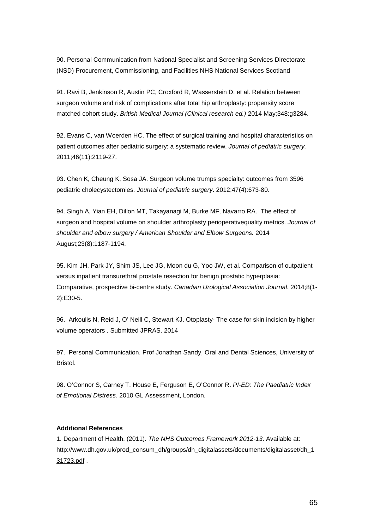90. Personal Communication from National Specialist and Screening Services Directorate (NSD) Procurement, Commissioning, and Facilities NHS National Services Scotland

91. Ravi B, Jenkinson R, Austin PC, Croxford R, Wasserstein D, et al. Relation between surgeon volume and risk of complications after total hip arthroplasty: propensity score matched cohort study. British Medical Journal (Clinical research ed.) 2014 May;348:g3284.

92. Evans C, van Woerden HC. The effect of surgical training and hospital characteristics on patient outcomes after pediatric surgery: a systematic review. Journal of pediatric surgery. 2011;46(11):2119-27.

93. Chen K, Cheung K, Sosa JA. Surgeon volume trumps specialty: outcomes from 3596 pediatric cholecystectomies. Journal of pediatric surgery. 2012;47(4):673-80.

94. Singh A, Yian EH, Dillon MT, Takayanagi M, Burke MF, Navarro RA. The effect of surgeon and hospital volume on shoulder arthroplasty perioperativequality metrics. Journal of shoulder and elbow surgery / American Shoulder and Elbow Surgeons. 2014 August;23(8):1187-1194.

95. Kim JH, Park JY, Shim JS, Lee JG, Moon du G, Yoo JW, et al. Comparison of outpatient versus inpatient transurethral prostate resection for benign prostatic hyperplasia: Comparative, prospective bi-centre study. Canadian Urological Association Journal. 2014;8(1- 2):E30-5.

96. Arkoulis N, Reid J, O' Neill C, Stewart KJ. Otoplasty- The case for skin incision by higher volume operators . Submitted JPRAS. 2014

97. Personal Communication. Prof Jonathan Sandy, Oral and Dental Sciences, University of Bristol.

98. O'Connor S, Carney T, House E, Ferguson E, O'Connor R. PI-ED: The Paediatric Index of Emotional Distress. 2010 GL Assessment, London.

#### **Additional References**

1. Department of Health. (2011). The NHS Outcomes Framework 2012-13. Available at: http://www.dh.gov.uk/prod\_consum\_dh/groups/dh\_digitalassets/documents/digitalasset/dh\_1 31723.pdf .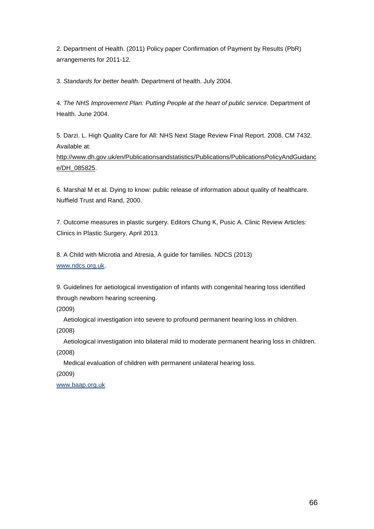2. Department of Health. (2011) Policy paper Confirmation of Payment by Results (PbR) arrangements for 2011-12.

3. Standards for better health. Department of health. July 2004.

4. The NHS Improvement Plan: Putting People at the heart of public service. Department of Health. June 2004.

5. Darzi. L. High Quality Care for All: NHS Next Stage Review Final Report. 2008. CM 7432. Available at:

http://www.dh.gov.uk/en/Publicationsandstatistics/Publications/PublicationsPolicyAndGuidanc e/DH\_085825.

6. Marshal M et al. Dying to know: public release of information about quality of healthcare. Nuffield Trust and Rand, 2000.

7. Outcome measures in plastic surgery. Editors Chung K, Pusic A. Clinic Review Articles: Clinics in Plastic Surgery, April 2013.

8. A Child with Microtia and Atresia, A guide for families. NDCS (2013) www.ndcs.org.uk.

9. Guidelines for aetiological investigation of infants with congenital hearing loss identified through newborn hearing screening.

(2009)

Aetiological investigation into severe to profound permanent hearing loss in children.

(2008)

 Aetiological investigation into bilateral mild to moderate permanent hearing loss in children. (2008)

Medical evaluation of children with permanent unilateral hearing loss.

(2009)

www.baap.org.uk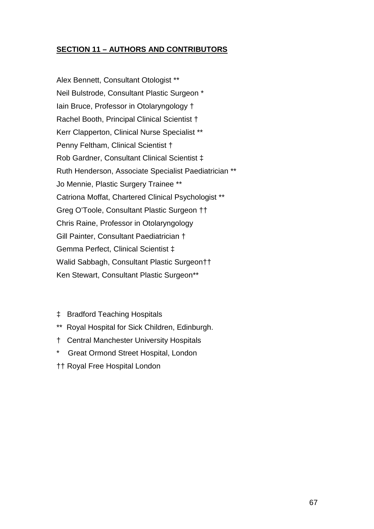# **SECTION 11 – AUTHORS AND CONTRIBUTORS**

Alex Bennett, Consultant Otologist \*\* Neil Bulstrode, Consultant Plastic Surgeon \* Iain Bruce, Professor in Otolaryngology † Rachel Booth, Principal Clinical Scientist † Kerr Clapperton, Clinical Nurse Specialist \*\* Penny Feltham, Clinical Scientist † Rob Gardner, Consultant Clinical Scientist ‡ Ruth Henderson, Associate Specialist Paediatrician \*\* Jo Mennie, Plastic Surgery Trainee \*\* Catriona Moffat, Chartered Clinical Psychologist \*\* Greg O'Toole, Consultant Plastic Surgeon †† Chris Raine, Professor in Otolaryngology Gill Painter, Consultant Paediatrician † Gemma Perfect, Clinical Scientist ‡ Walid Sabbagh, Consultant Plastic Surgeon†† Ken Stewart, Consultant Plastic Surgeon\*\*

- ‡ Bradford Teaching Hospitals
- \*\* Royal Hospital for Sick Children, Edinburgh.
- † Central Manchester University Hospitals
- Great Ormond Street Hospital, London
- †† Royal Free Hospital London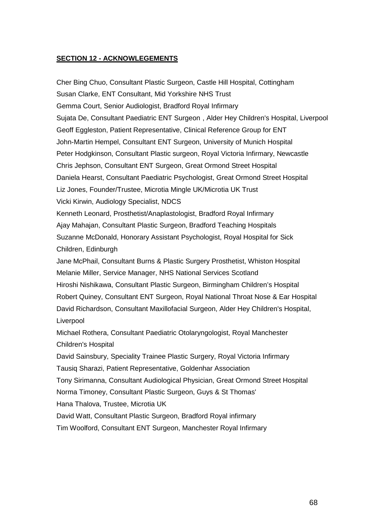#### **SECTION 12 - ACKNOWLEGEMENTS**

Cher Bing Chuo, Consultant Plastic Surgeon, Castle Hill Hospital, Cottingham Susan Clarke, ENT Consultant, Mid Yorkshire NHS Trust Gemma Court, Senior Audiologist, Bradford Royal Infirmary Sujata De, Consultant Paediatric ENT Surgeon , Alder Hey Children's Hospital, Liverpool Geoff Eggleston, Patient Representative, Clinical Reference Group for ENT John-Martin Hempel, Consultant ENT Surgeon, University of Munich Hospital Peter Hodgkinson, Consultant Plastic surgeon, Royal Victoria Infirmary, Newcastle Chris Jephson, Consultant ENT Surgeon, Great Ormond Street Hospital Daniela Hearst, Consultant Paediatric Psychologist, Great Ormond Street Hospital Liz Jones, Founder/Trustee, Microtia Mingle UK/Microtia UK Trust Vicki Kirwin, Audiology Specialist, NDCS Kenneth Leonard, Prosthetist/Anaplastologist, Bradford Royal Infirmary Ajay Mahajan, Consultant Plastic Surgeon, Bradford Teaching Hospitals Suzanne McDonald, Honorary Assistant Psychologist, Royal Hospital for Sick Children, Edinburgh Jane McPhail, Consultant Burns & Plastic Surgery Prosthetist, Whiston Hospital Melanie Miller, Service Manager, NHS National Services Scotland Hiroshi Nishikawa, Consultant Plastic Surgeon, Birmingham Children's Hospital Robert Quiney, Consultant ENT Surgeon, Royal National Throat Nose & Ear Hospital David Richardson, Consultant Maxillofacial Surgeon, Alder Hey Children's Hospital, Liverpool Michael Rothera, Consultant Paediatric Otolaryngologist, Royal Manchester Children's Hospital David Sainsbury, Speciality Trainee Plastic Surgery, Royal Victoria Infirmary Tausiq Sharazi, Patient Representative, Goldenhar Association Tony Sirimanna, Consultant Audiological Physician, Great Ormond Street Hospital Norma Timoney, Consultant Plastic Surgeon, Guys & St Thomas' Hana Thalova, Trustee, Microtia UK David Watt, Consultant Plastic Surgeon, Bradford Royal infirmary Tim Woolford, Consultant ENT Surgeon, Manchester Royal Infirmary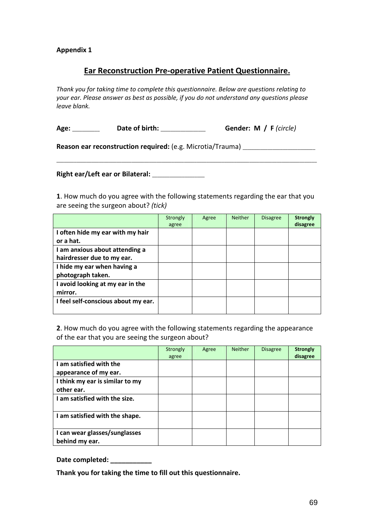#### **Appendix 1**

### **Ear Reconstruction Pre-operative Patient Questionnaire.**

*Thank you for taking time to complete this questionnaire. Below are questions relating to your ear. Please answer as best as possible, if you do not understand any questions please leave blank.* 

**Age:** \_\_\_\_\_\_\_\_\_\_\_ **Date of birth:** \_\_\_\_\_\_\_\_\_\_\_\_\_\_\_\_\_\_ **Gender: M / F** *(circle)*

Reason ear reconstruction required: (e.g. Microtia/Trauma) \_\_\_\_\_\_\_\_\_\_\_\_\_\_\_\_\_\_\_\_\_

**Right ear/Left ear or Bilateral:** \_\_\_\_\_\_\_\_\_\_\_\_\_\_\_\_\_\_\_\_\_

**1**. How much do you agree with the following statements regarding the ear that you are seeing the surgeon about? *(tick)*

\_\_\_\_\_\_\_\_\_\_\_\_\_\_\_\_\_\_\_\_\_\_\_\_\_\_\_\_\_\_\_\_\_\_\_\_\_\_\_\_\_\_\_\_\_\_\_\_\_\_\_\_\_\_\_\_\_\_\_\_\_\_\_\_\_\_\_\_\_\_\_\_\_\_\_\_\_\_\_\_\_\_\_\_\_\_\_\_\_\_\_\_\_\_\_\_\_\_\_\_\_\_\_\_

|                                     | Strongly<br>agree | Agree | <b>Neither</b> | <b>Disagree</b> | <b>Strongly</b><br>disagree |
|-------------------------------------|-------------------|-------|----------------|-----------------|-----------------------------|
| I often hide my ear with my hair    |                   |       |                |                 |                             |
| or a hat.                           |                   |       |                |                 |                             |
| I am anxious about attending a      |                   |       |                |                 |                             |
| hairdresser due to my ear.          |                   |       |                |                 |                             |
| I hide my ear when having a         |                   |       |                |                 |                             |
| photograph taken.                   |                   |       |                |                 |                             |
| I avoid looking at my ear in the    |                   |       |                |                 |                             |
| mirror.                             |                   |       |                |                 |                             |
| I feel self-conscious about my ear. |                   |       |                |                 |                             |
|                                     |                   |       |                |                 |                             |

**2**. How much do you agree with the following statements regarding the appearance of the ear that you are seeing the surgeon about?

|                                                 | Strongly<br>agree | Agree | <b>Neither</b> | <b>Disagree</b> | <b>Strongly</b><br>disagree |
|-------------------------------------------------|-------------------|-------|----------------|-----------------|-----------------------------|
| I am satisfied with the                         |                   |       |                |                 |                             |
| appearance of my ear.                           |                   |       |                |                 |                             |
| I think my ear is similar to my                 |                   |       |                |                 |                             |
| other ear.                                      |                   |       |                |                 |                             |
| I am satisfied with the size.                   |                   |       |                |                 |                             |
| I am satisfied with the shape.                  |                   |       |                |                 |                             |
| I can wear glasses/sunglasses<br>behind my ear. |                   |       |                |                 |                             |

#### Date completed:

**Thank you for taking the time to fill out this questionnaire.**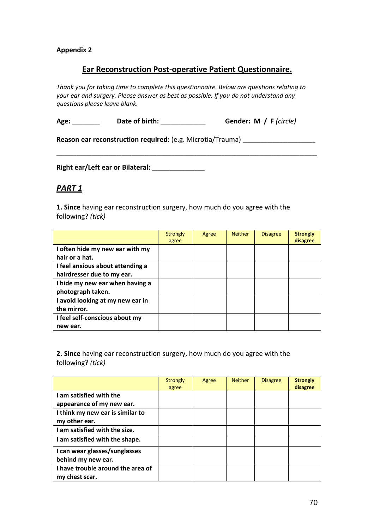#### **Appendix 2**

### **Ear Reconstruction Post-operative Patient Questionnaire.**

*Thank you for taking time to complete this questionnaire. Below are questions relating to your ear and surgery. Please answer as best as possible. If you do not understand any questions please leave blank.* 

**Age:** \_\_\_\_\_\_\_\_\_\_\_ **Date of birth:** \_\_\_\_\_\_\_\_\_\_\_\_\_\_\_\_\_\_ **Gender: M / F** *(circle)*

\_\_\_\_\_\_\_\_\_\_\_\_\_\_\_\_\_\_\_\_\_\_\_\_\_\_\_\_\_\_\_\_\_\_\_\_\_\_\_\_\_\_\_\_\_\_\_\_\_\_\_\_\_\_\_\_\_\_\_\_\_\_\_\_\_\_\_\_\_\_\_\_\_\_\_\_\_\_\_\_\_\_\_\_\_\_\_\_\_\_\_\_\_\_\_\_\_\_\_\_\_\_\_\_

Reason ear reconstruction required: (e.g. Microtia/Trauma) \_\_\_\_\_\_\_\_\_\_\_\_\_\_\_\_\_\_\_\_\_

**Right ear/Left ear or Bilateral:** \_\_\_\_\_\_\_\_\_\_\_\_\_\_\_\_\_\_\_\_\_

# *PART 1*

**1. Since** having ear reconstruction surgery, how much do you agree with the following? *(tick)*

|                                  | Strongly<br>agree | Agree | <b>Neither</b> | <b>Disagree</b> | <b>Strongly</b><br>disagree |
|----------------------------------|-------------------|-------|----------------|-----------------|-----------------------------|
| I often hide my new ear with my  |                   |       |                |                 |                             |
| hair or a hat.                   |                   |       |                |                 |                             |
| I feel anxious about attending a |                   |       |                |                 |                             |
| hairdresser due to my ear.       |                   |       |                |                 |                             |
| I hide my new ear when having a  |                   |       |                |                 |                             |
| photograph taken.                |                   |       |                |                 |                             |
| I avoid looking at my new ear in |                   |       |                |                 |                             |
| the mirror.                      |                   |       |                |                 |                             |
| I feel self-conscious about my   |                   |       |                |                 |                             |
| new ear.                         |                   |       |                |                 |                             |

**2. Since** having ear reconstruction surgery, how much do you agree with the following? *(tick)*

|                                                      | <b>Strongly</b><br>agree | Agree | <b>Neither</b> | <b>Disagree</b> | <b>Strongly</b><br>disagree |
|------------------------------------------------------|--------------------------|-------|----------------|-----------------|-----------------------------|
| I am satisfied with the<br>appearance of my new ear. |                          |       |                |                 |                             |
| I think my new ear is similar to<br>my other ear.    |                          |       |                |                 |                             |
| I am satisfied with the size.                        |                          |       |                |                 |                             |
| I am satisfied with the shape.                       |                          |       |                |                 |                             |
| I can wear glasses/sunglasses<br>behind my new ear.  |                          |       |                |                 |                             |
| I have trouble around the area of<br>my chest scar.  |                          |       |                |                 |                             |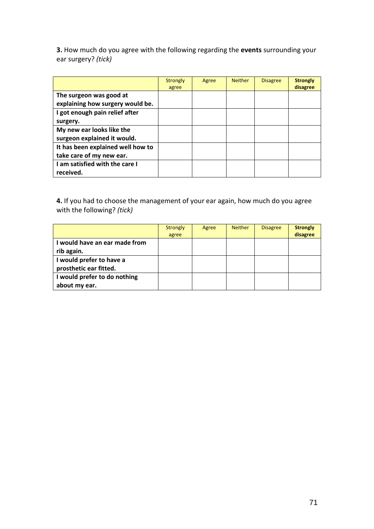**3.** How much do you agree with the following regarding the **events** surrounding your ear surgery? *(tick)*

|                                                               | <b>Strongly</b><br>agree | Agree | <b>Neither</b> | <b>Disagree</b> | <b>Strongly</b><br>disagree |
|---------------------------------------------------------------|--------------------------|-------|----------------|-----------------|-----------------------------|
| The surgeon was good at<br>explaining how surgery would be.   |                          |       |                |                 |                             |
| I got enough pain relief after<br>surgery.                    |                          |       |                |                 |                             |
| My new ear looks like the<br>surgeon explained it would.      |                          |       |                |                 |                             |
| It has been explained well how to<br>take care of my new ear. |                          |       |                |                 |                             |
| I am satisfied with the care I<br>received.                   |                          |       |                |                 |                             |

**4.** If you had to choose the management of your ear again, how much do you agree with the following? *(tick)* 

|                                                    | <b>Strongly</b><br>agree | Agree | <b>Neither</b> | <b>Disagree</b> | <b>Strongly</b><br>disagree |
|----------------------------------------------------|--------------------------|-------|----------------|-----------------|-----------------------------|
| I would have an ear made from<br>rib again.        |                          |       |                |                 |                             |
| I would prefer to have a<br>prosthetic ear fitted. |                          |       |                |                 |                             |
| I would prefer to do nothing<br>about my ear.      |                          |       |                |                 |                             |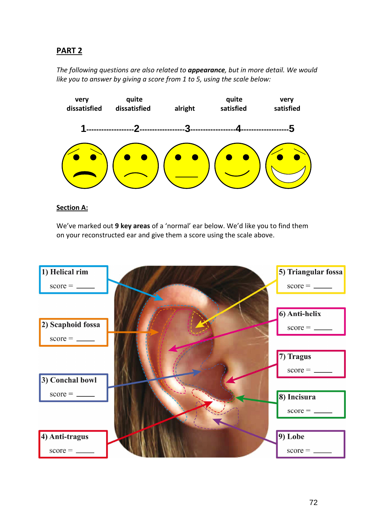# **PART 2**

*The following questions are also related to appearance, but in more detail. We would like you to answer by giving a score from 1 to 5, using the scale below:* 



#### **Section A:**

We've marked out **9 key areas** of a 'normal' ear below. We'd like you to find them on your reconstructed ear and give them a score using the scale above.